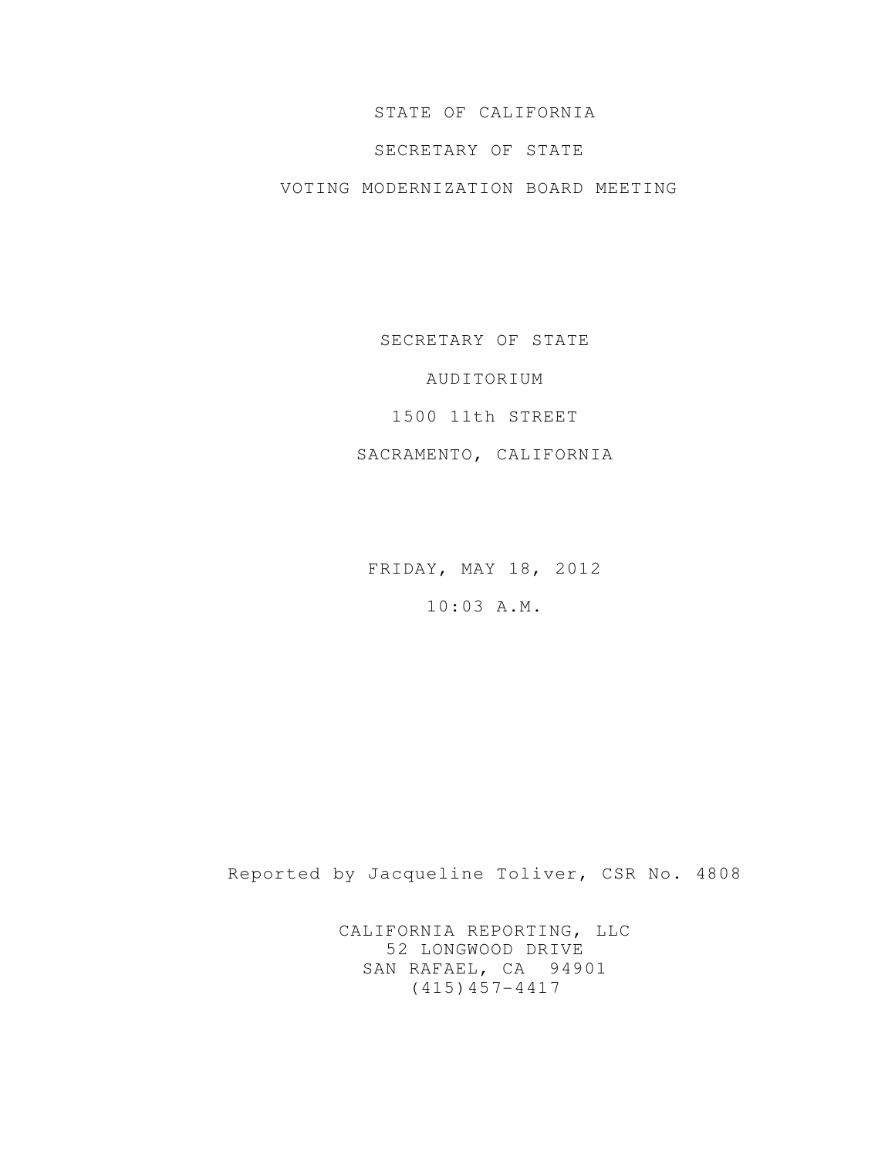## STATE OF CALIFORNIA

## SECRETARY OF STATE

## VOTING MODERNIZATION BOARD MEETING

SECRETARY OF STATE

AUDITORIUM

1500 11th STREET

SACRAMENTO, CALIFORNIA

FRIDAY, MAY 18, 2012

10:03 A.M.

Reported by Jacqueline Toliver, CSR No. 4808

CALIFORNIA REPORTING, LLC 52 LONGWOOD DRIVE SAN RAFAEL, CA 94901 (415)457-4417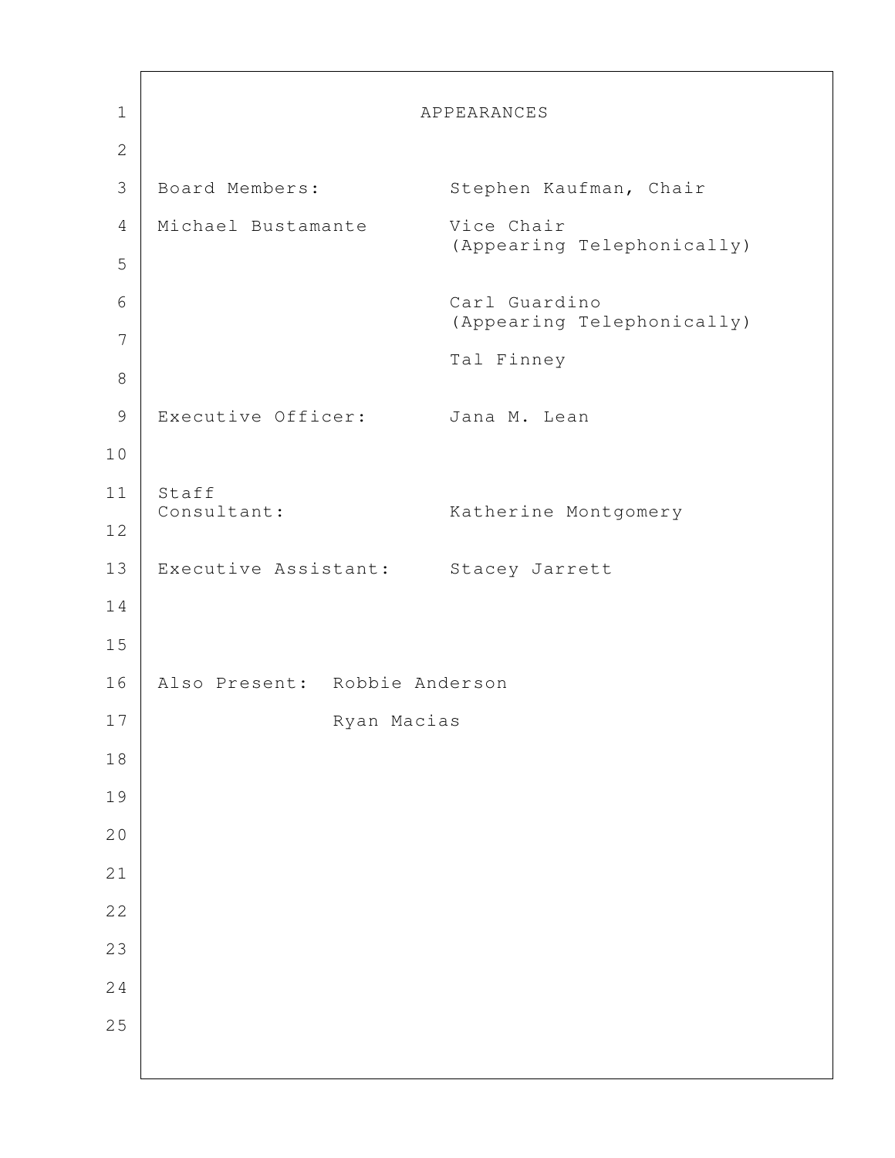| $\mathbf 1$    |                                     | APPEARANCES                |
|----------------|-------------------------------------|----------------------------|
| $\overline{2}$ |                                     |                            |
| $\mathfrak{Z}$ | Board Members:                      | Stephen Kaufman, Chair     |
| 4              | Michael Bustamante                  | Vice Chair                 |
| 5              |                                     | (Appearing Telephonically) |
| 6              |                                     | Carl Guardino              |
| 7              |                                     | (Appearing Telephonically) |
| $\,8\,$        |                                     | Tal Finney                 |
| $\mathcal{G}$  | Executive Officer:                  | Jana M. Lean               |
| 10             |                                     |                            |
| 11             | Staff                               |                            |
| $12$           | Consultant:                         | Katherine Montgomery       |
| 13             | Executive Assistant: Stacey Jarrett |                            |
| 14             |                                     |                            |
| 15             |                                     |                            |
| 16             | Also Present: Robbie Anderson       |                            |
| 17             | Ryan Macias                         |                            |
| $1\,8$         |                                     |                            |
| 19             |                                     |                            |
| 20             |                                     |                            |
| 21             |                                     |                            |
| 22             |                                     |                            |
| 23             |                                     |                            |
| 24             |                                     |                            |
| 25             |                                     |                            |
|                |                                     |                            |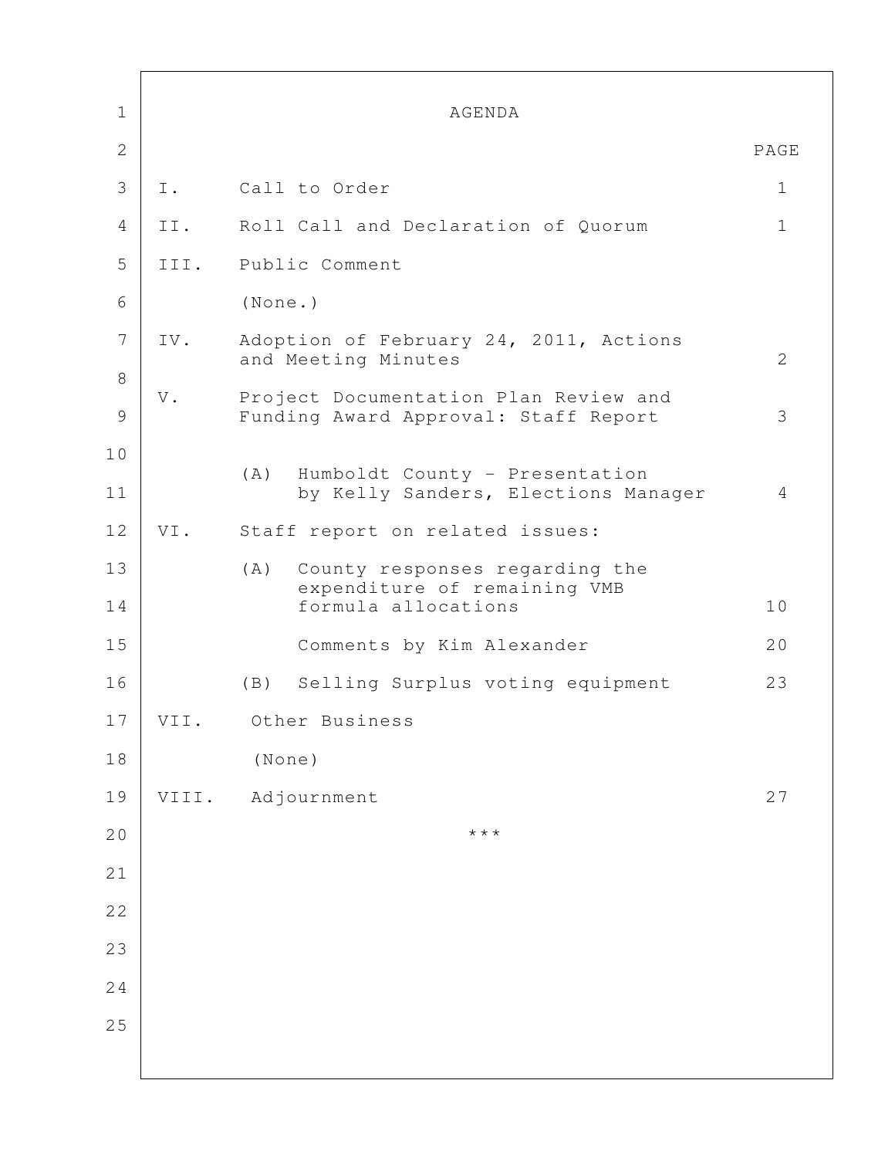| $\mathbf 1$  |               | AGENDA                                                                                       |              |
|--------------|---------------|----------------------------------------------------------------------------------------------|--------------|
| $\mathbf{2}$ |               |                                                                                              | PAGE         |
| 3            | Ι.            | Call to Order                                                                                | $\mathbf{1}$ |
| 4            | II.           | Roll Call and Declaration of Quorum                                                          | $\mathbf 1$  |
| 5            | III.          | Public Comment                                                                               |              |
| 6            |               | (None.)                                                                                      |              |
| 7            | IV.           | Adoption of February 24, 2011, Actions<br>and Meeting Minutes                                | 2            |
| 8<br>9       | $\mathbf V$ . | Project Documentation Plan Review and<br>Funding Award Approval: Staff Report                | 3            |
| 10<br>11     |               | Humboldt County - Presentation<br>(A)<br>by Kelly Sanders, Elections Manager                 | 4            |
| 12           | VI.           | Staff report on related issues:                                                              |              |
| 13<br>14     |               | (A)<br>County responses regarding the<br>expenditure of remaining VMB<br>formula allocations | 10           |
| 15           |               | Comments by Kim Alexander                                                                    | 20           |
| 16           |               | (B) Selling Surplus voting equipment                                                         | 23           |
| 17           | VII.          | Other Business                                                                               |              |
| 18           |               | (None)                                                                                       |              |
| 19           | VIII.         | Adjournment                                                                                  | 27           |
| 20           |               | $\star$ $\star$ $\star$                                                                      |              |
| 21           |               |                                                                                              |              |
| 22           |               |                                                                                              |              |
| 23           |               |                                                                                              |              |
| 24           |               |                                                                                              |              |
| 25           |               |                                                                                              |              |
|              |               |                                                                                              |              |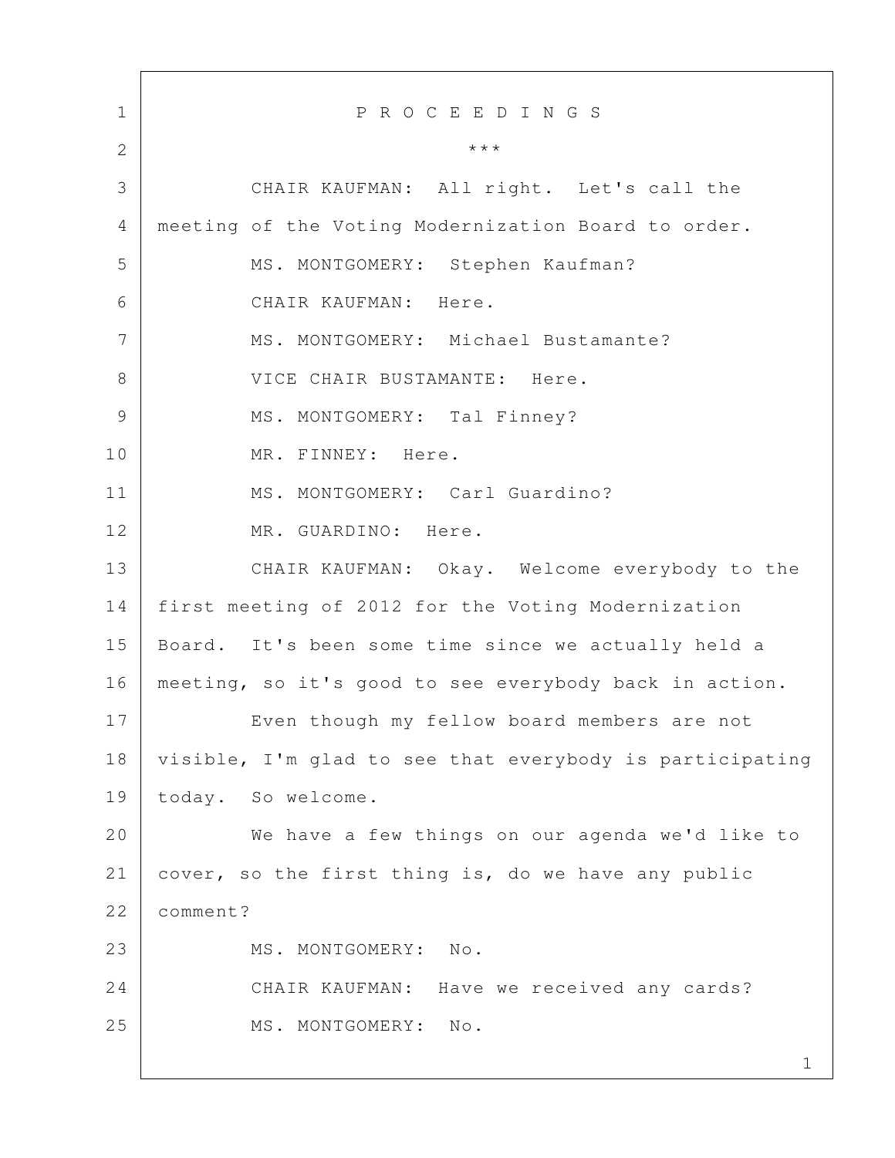1 1 P R O C E E D I N G S 2  $\vert$  3 CHAIR KAUFMAN: All right. Let's call the 4 meeting of the Voting Modernization Board to order. 5 | MS. MONTGOMERY: Stephen Kaufman? 6 CHAIR KAUFMAN: Here. 7 MS. MONTGOMERY: Michael Bustamante? 8 VICE CHAIR BUSTAMANTE: Here. 9 | MS. MONTGOMERY: Tal Finney? 10 MR. FINNEY: Here. 11 MS. MONTGOMERY: Carl Guardino? 12 MR. GUARDINO: Here. 13 CHAIR KAUFMAN: Okay. Welcome everybody to the 14 first meeting of 2012 for the Voting Modernization 15 Board. It's been some time since we actually held a 16 meeting, so it's good to see everybody back in action. 17 Even though my fellow board members are not 18 visible, I'm glad to see that everybody is participating 19 today. So welcome. 20 We have a few things on our agenda we'd like to 21 cover, so the first thing is, do we have any public 22 | comment? 23 MS. MONTGOMERY: No. 24 CHAIR KAUFMAN: Have we received any cards? 25 MS. MONTGOMERY: No.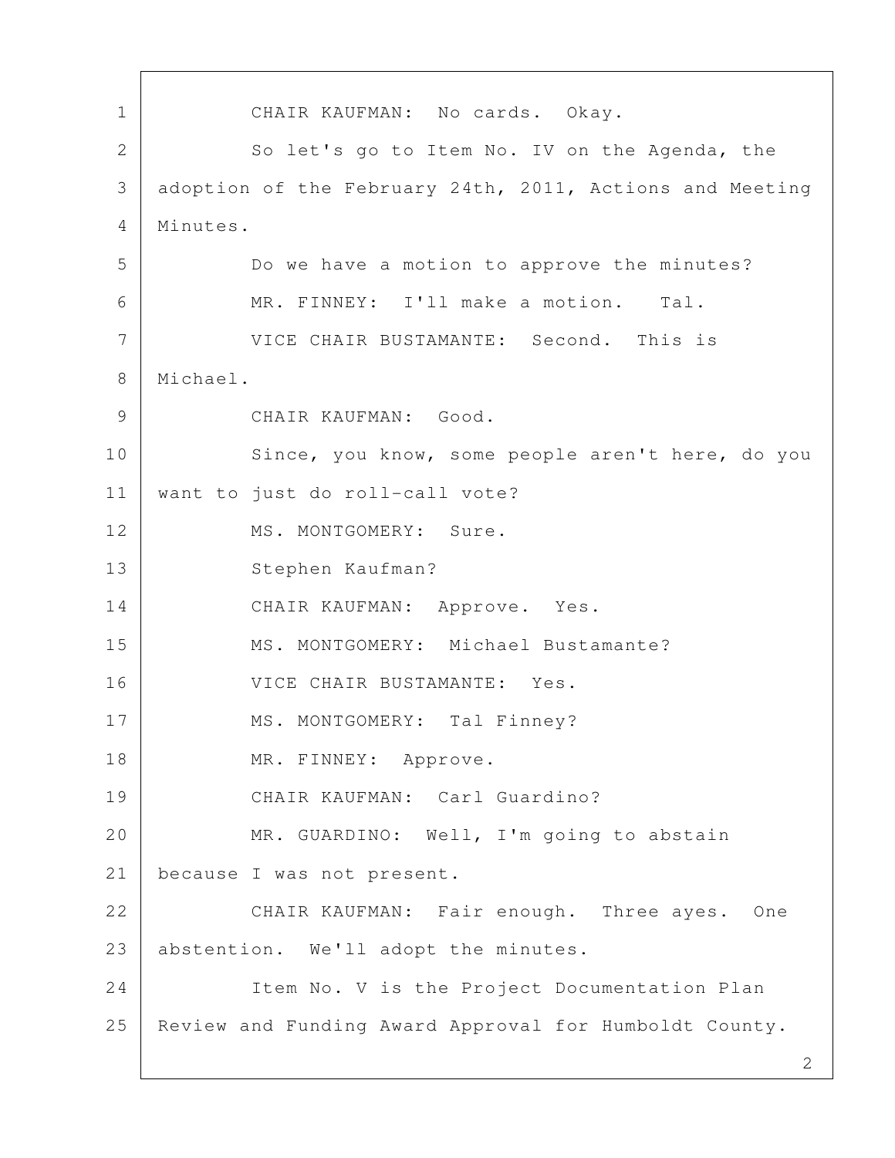1 CHAIR KAUFMAN: No cards. Okay. 2 So let's go to Item No. IV on the Agenda, the 3 adoption of the February 24th, 2011, Actions and Meeting 4 Minutes. 5 Do we have a motion to approve the minutes? 6 MR. FINNEY: I'll make a motion. Tal. 7 VICE CHAIR BUSTAMANTE: Second. This is 8 Michael. 9 CHAIR KAUFMAN: Good. 10 Since, you know, some people aren't here, do you 11 want to just do roll-call vote? 12 MS. MONTGOMERY: Sure. 13 Stephen Kaufman? 14 CHAIR KAUFMAN: Approve. Yes. 15 MS. MONTGOMERY: Michael Bustamante? 16 VICE CHAIR BUSTAMANTE: Yes. 17 | MS. MONTGOMERY: Tal Finney? 18 MR. FINNEY: Approve. 19 CHAIR KAUFMAN: Carl Guardino? 20 MR. GUARDINO: Well, I'm going to abstain 21 | because I was not present. 22 CHAIR KAUFMAN: Fair enough. Three ayes. One 23 abstention. We'll adopt the minutes. 24 Item No. V is the Project Documentation Plan 25 Review and Funding Award Approval for Humboldt County.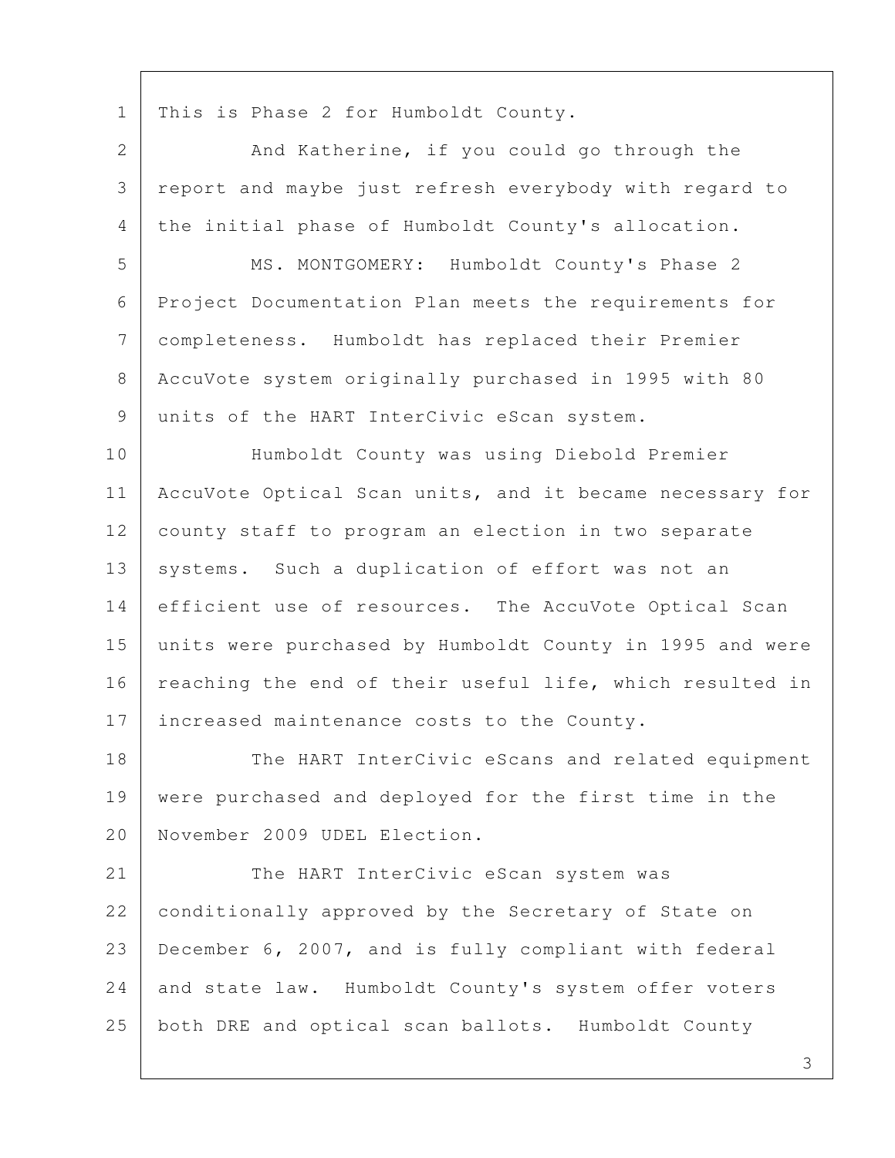1 | This is Phase 2 for Humboldt County.

2 And Katherine, if you could go through the 3 report and maybe just refresh everybody with regard to 4 the initial phase of Humboldt County's allocation. 5 MS. MONTGOMERY: Humboldt County's Phase 2 6 Project Documentation Plan meets the requirements for 7 completeness. Humboldt has replaced their Premier 8 AccuVote system originally purchased in 1995 with 80 9 | units of the HART InterCivic eScan system. 10 Humboldt County was using Diebold Premier 11 | AccuVote Optical Scan units, and it became necessary for 12 county staff to program an election in two separate 13 | systems. Such a duplication of effort was not an 14 efficient use of resources. The AccuVote Optical Scan 15 units were purchased by Humboldt County in 1995 and were

16 reaching the end of their useful life, which resulted in 17 increased maintenance costs to the County.

18 The HART InterCivic eScans and related equipment 19 were purchased and deployed for the first time in the 20 November 2009 UDEL Election.

21 The HART InterCivic eScan system was 22 conditionally approved by the Secretary of State on 23 December 6, 2007, and is fully compliant with federal 24 and state law. Humboldt County's system offer voters 25 both DRE and optical scan ballots. Humboldt County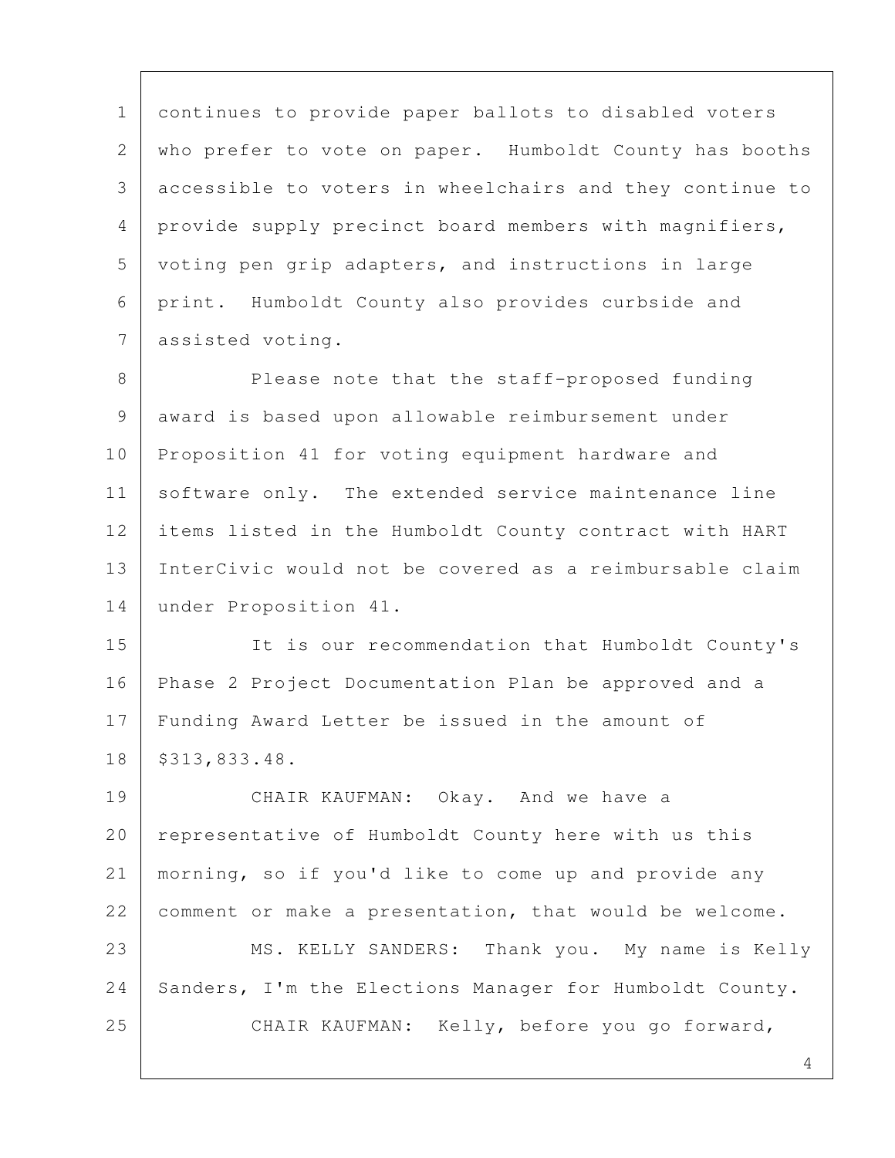1 continues to provide paper ballots to disabled voters 2 who prefer to vote on paper. Humboldt County has booths 3 accessible to voters in wheelchairs and they continue to 4 provide supply precinct board members with magnifiers, 5 voting pen grip adapters, and instructions in large 6 print. Humboldt County also provides curbside and 7 assisted voting.

8 Please note that the staff-proposed funding 9 award is based upon allowable reimbursement under 10 Proposition 41 for voting equipment hardware and 11 software only. The extended service maintenance line 12 items listed in the Humboldt County contract with HART 13 InterCivic would not be covered as a reimbursable claim 14 under Proposition 41.

15 | It is our recommendation that Humboldt County's 16 Phase 2 Project Documentation Plan be approved and a 17 Funding Award Letter be issued in the amount of 18 \$313,833.48.

19 CHAIR KAUFMAN: Okay. And we have a 20 representative of Humboldt County here with us this 21 morning, so if you'd like to come up and provide any 22 comment or make a presentation, that would be welcome. 23 MS. KELLY SANDERS: Thank you. My name is Kelly 24 | Sanders, I'm the Elections Manager for Humboldt County. 25 CHAIR KAUFMAN: Kelly, before you go forward,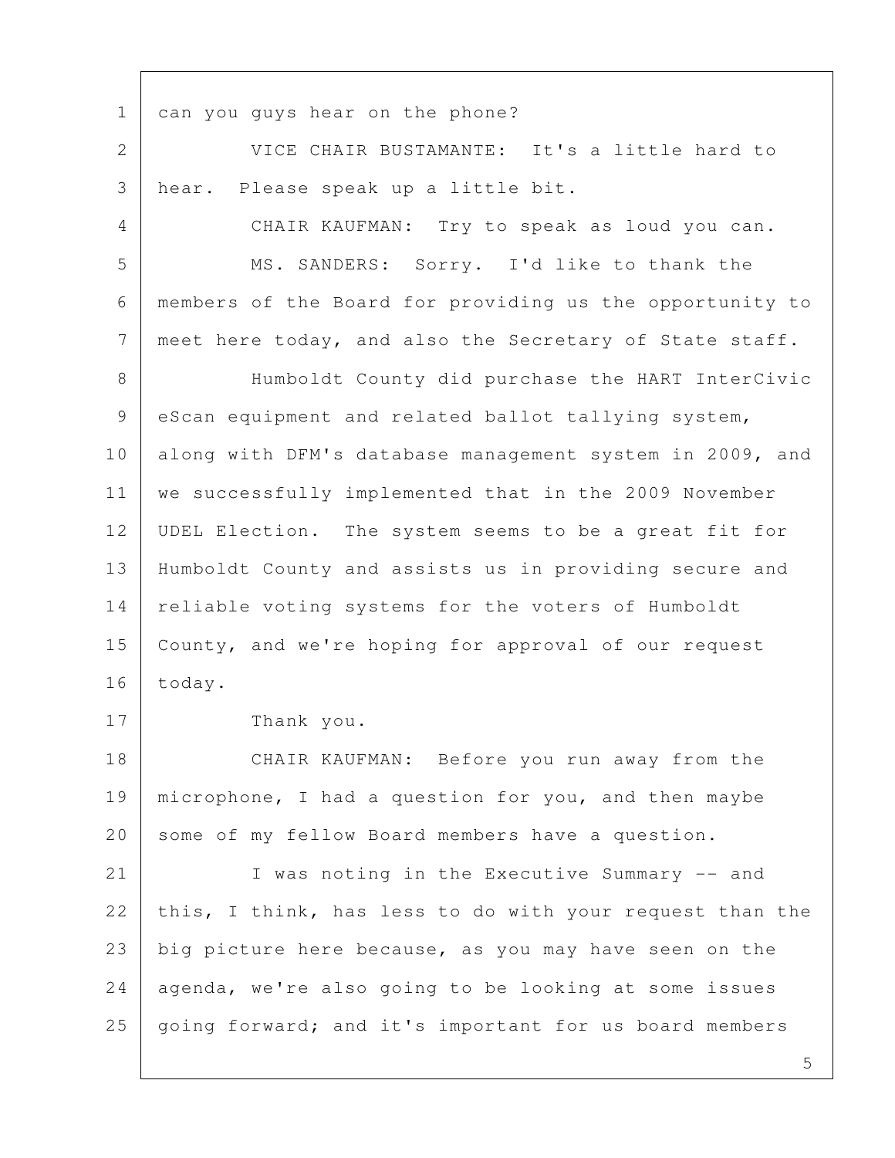1 can you guys hear on the phone?

 2 VICE CHAIR BUSTAMANTE: It's a little hard to 3 hear. Please speak up a little bit.

 4 CHAIR KAUFMAN: Try to speak as loud you can. 5 MS. SANDERS: Sorry. I'd like to thank the 6 members of the Board for providing us the opportunity to 7 | meet here today, and also the Secretary of State staff.

8 | Humboldt County did purchase the HART InterCivic 9 eScan equipment and related ballot tallying system, 10 along with DFM's database management system in 2009, and 11 | we successfully implemented that in the 2009 November 12 UDEL Election. The system seems to be a great fit for 13 Humboldt County and assists us in providing secure and 14 | reliable voting systems for the voters of Humboldt 15 County, and we're hoping for approval of our request 16 today.

17 Thank you.

18 CHAIR KAUFMAN: Before you run away from the 19 | microphone, I had a question for you, and then maybe 20 some of my fellow Board members have a question.

21 I was noting in the Executive Summary -- and 22 this, I think, has less to do with your request than the 23 big picture here because, as you may have seen on the 24 agenda, we're also going to be looking at some issues 25 | going forward; and it's important for us board members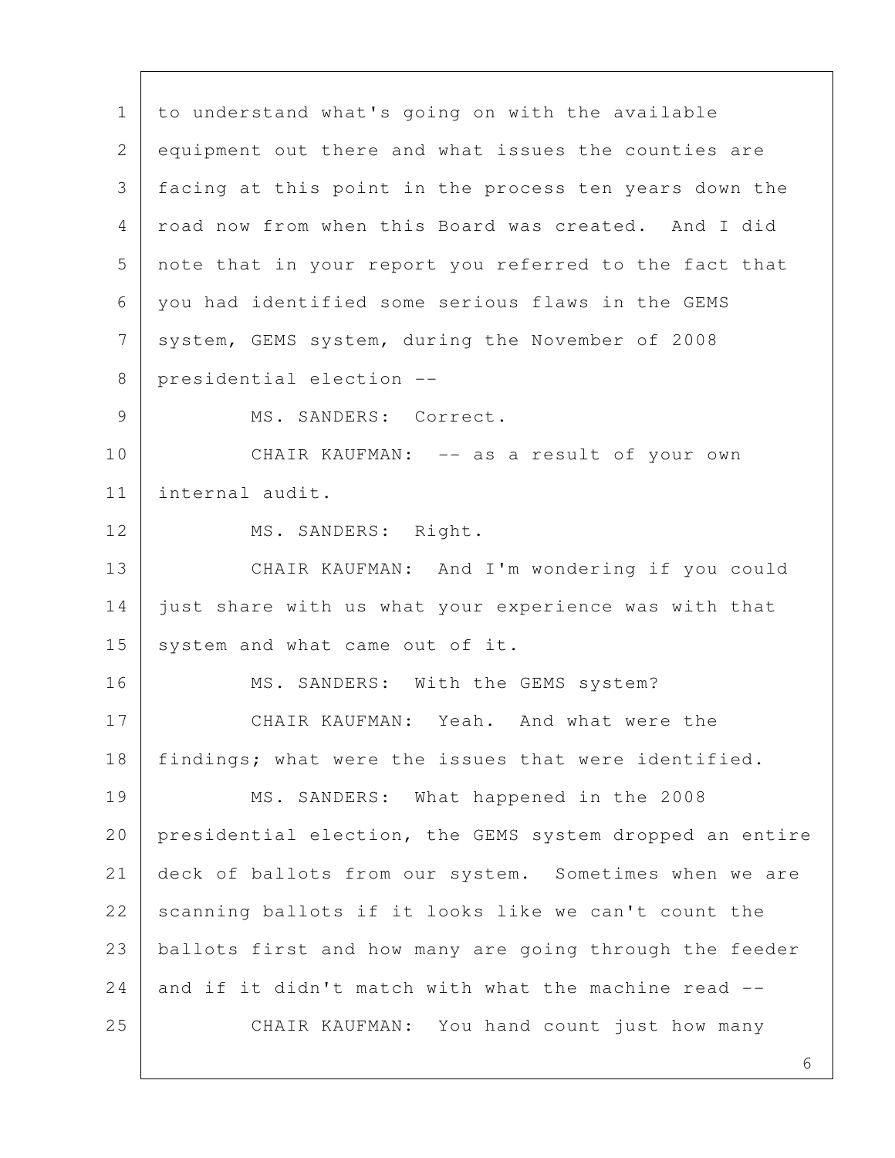1 to understand what's going on with the available 2 equipment out there and what issues the counties are 3 facing at this point in the process ten years down the 4 road now from when this Board was created. And I did 5 note that in your report you referred to the fact that 6 you had identified some serious flaws in the GEMS 7 system, GEMS system, during the November of 2008 8 presidential election -- 9 MS. SANDERS: Correct. 10 CHAIR KAUFMAN: -- as a result of your own 11 internal audit. 12 | MS. SANDERS: Right. 13 CHAIR KAUFMAN: And I'm wondering if you could 14 just share with us what your experience was with that 15 system and what came out of it. 16 MS. SANDERS: With the GEMS system? 17 CHAIR KAUFMAN: Yeah. And what were the 18 | findings; what were the issues that were identified. 19 MS. SANDERS: What happened in the 2008 20 presidential election, the GEMS system dropped an entire 21 deck of ballots from our system. Sometimes when we are 22 scanning ballots if it looks like we can't count the 23 ballots first and how many are going through the feeder 24 and if it didn't match with what the machine read  $-$ -25 CHAIR KAUFMAN: You hand count just how many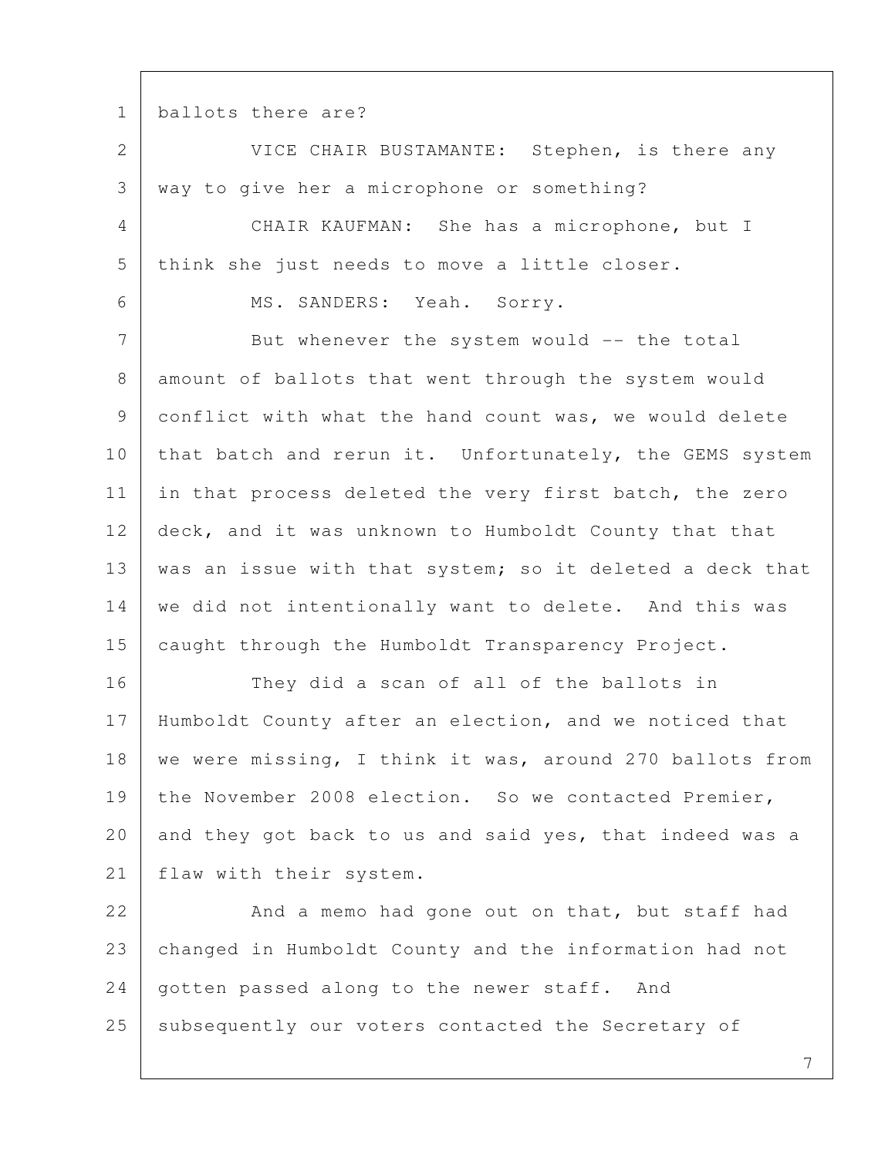1 ballots there are?

2 VICE CHAIR BUSTAMANTE: Stephen, is there any 3 way to give her a microphone or something? 4 CHAIR KAUFMAN: She has a microphone, but I 5 think she just needs to move a little closer. 6 MS. SANDERS: Yeah. Sorry. 7 But whenever the system would -- the total 8 amount of ballots that went through the system would 9 conflict with what the hand count was, we would delete 10 that batch and rerun it. Unfortunately, the GEMS system 11 in that process deleted the very first batch, the zero 12 deck, and it was unknown to Humboldt County that that 13 | was an issue with that system; so it deleted a deck that 14 we did not intentionally want to delete. And this was 15 caught through the Humboldt Transparency Project. 16 They did a scan of all of the ballots in 17 Humboldt County after an election, and we noticed that 18 | we were missing, I think it was, around 270 ballots from 19 the November 2008 election. So we contacted Premier, 20 and they got back to us and said yes, that indeed was a 21 | flaw with their system. 22 And a memo had gone out on that, but staff had 23 changed in Humboldt County and the information had not 24 | gotten passed along to the newer staff. And

25 subsequently our voters contacted the Secretary of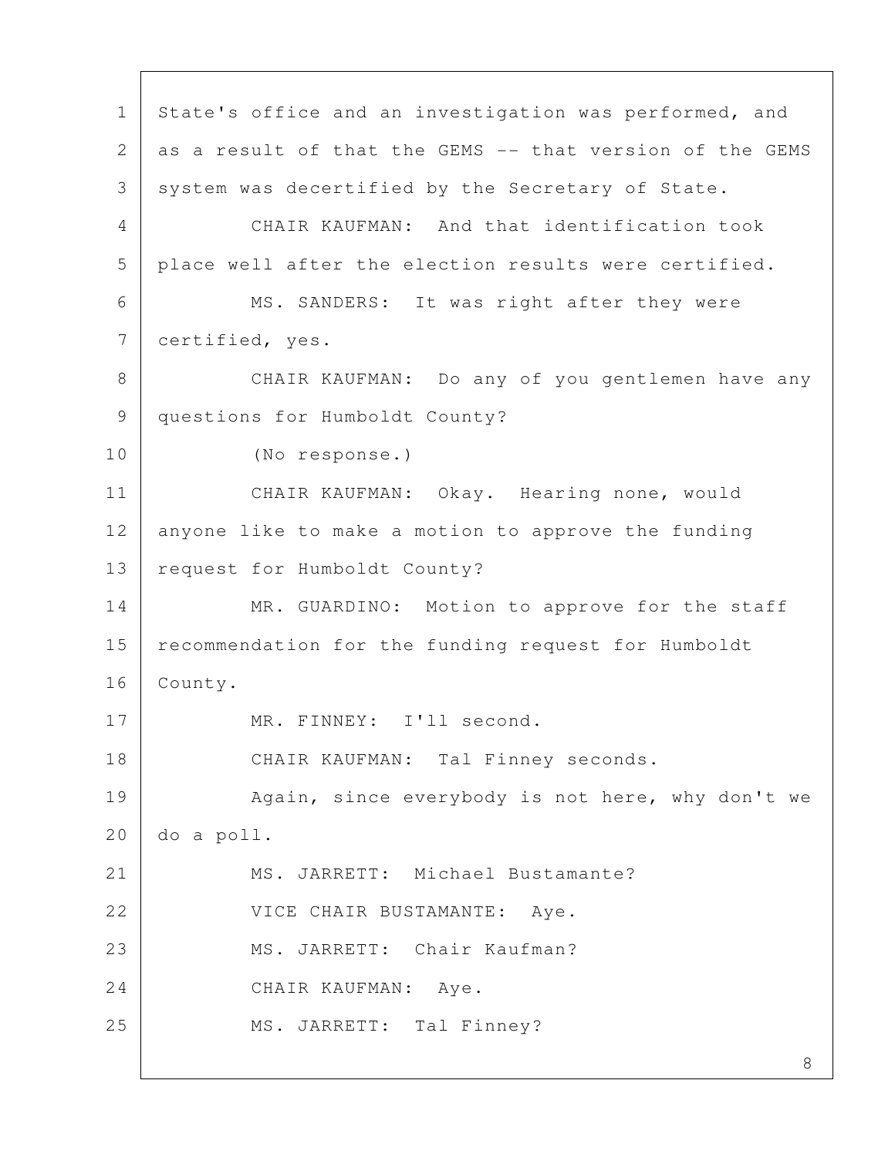8 1 | State's office and an investigation was performed, and 2 as a result of that the GEMS -- that version of the GEMS 3 system was decertified by the Secretary of State. 4 CHAIR KAUFMAN: And that identification took 5 place well after the election results were certified. 6 MS. SANDERS: It was right after they were 7 certified, yes. 8 | CHAIR KAUFMAN: Do any of you gentlemen have any 9 questions for Humboldt County? 10 (No response.) 11 CHAIR KAUFMAN: Okay. Hearing none, would 12 anyone like to make a motion to approve the funding 13 | request for Humboldt County? 14 MR. GUARDINO: Motion to approve for the staff 15 recommendation for the funding request for Humboldt 16 County. 17 MR. FINNEY: I'll second. 18 CHAIR KAUFMAN: Tal Finney seconds. 19 Again, since everybody is not here, why don't we 20 do a poll. 21 MS. JARRETT: Michael Bustamante? 22 VICE CHAIR BUSTAMANTE: Aye. 23 MS. JARRETT: Chair Kaufman? 24 CHAIR KAUFMAN: Aye. 25 | MS. JARRETT: Tal Finney?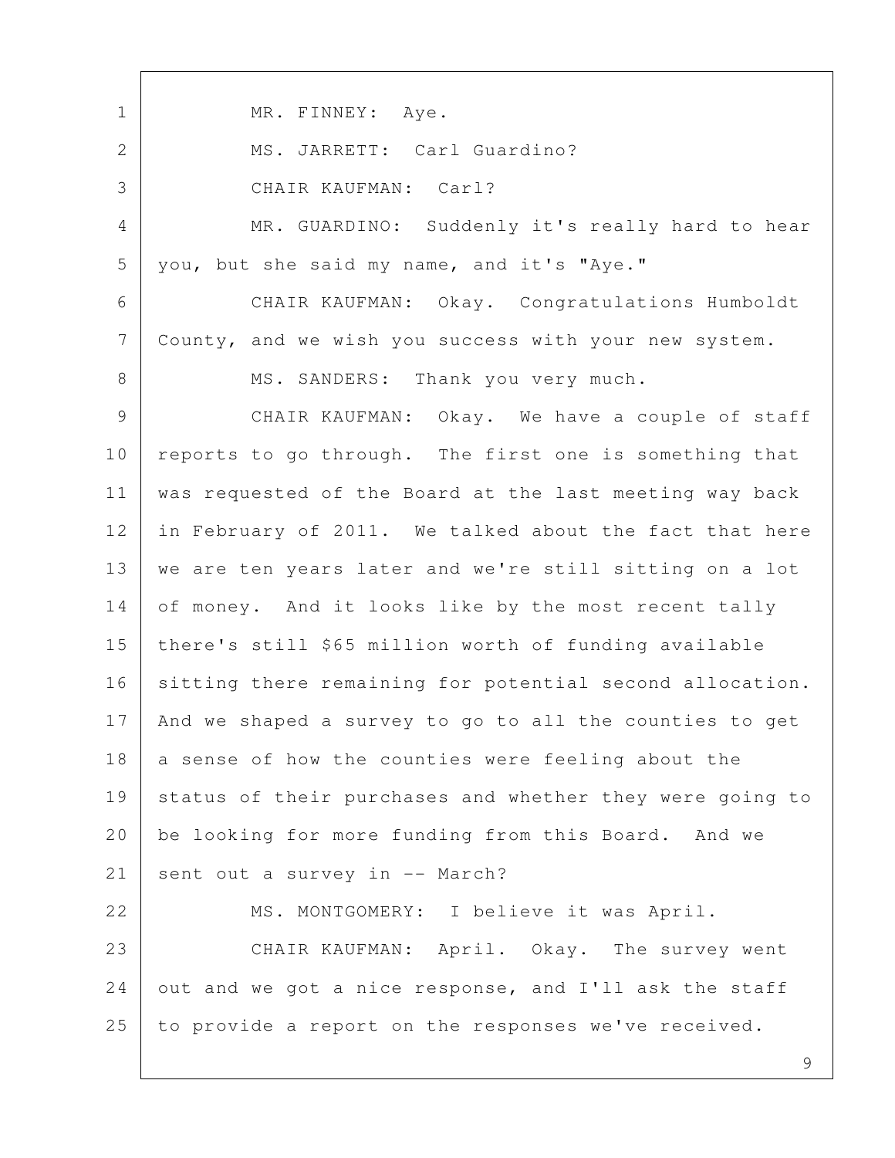1 MR. FINNEY: Aye. 2 MS. JARRETT: Carl Guardino? 3 CHAIR KAUFMAN: Carl? 4 MR. GUARDINO: Suddenly it's really hard to hear 5 you, but she said my name, and it's "Aye." 6 CHAIR KAUFMAN: Okay. Congratulations Humboldt 7 County, and we wish you success with your new system. 8 | MS. SANDERS: Thank you very much. 9 CHAIR KAUFMAN: Okay. We have a couple of staff 10 reports to go through. The first one is something that 11 was requested of the Board at the last meeting way back 12 in February of 2011. We talked about the fact that here 13 we are ten years later and we're still sitting on a lot 14 of money. And it looks like by the most recent tally 15 there's still \$65 million worth of funding available 16 sitting there remaining for potential second allocation. 17 And we shaped a survey to go to all the counties to get 18 a sense of how the counties were feeling about the 19 status of their purchases and whether they were going to 20 be looking for more funding from this Board. And we 21 | sent out a survey in -- March? 22 MS. MONTGOMERY: I believe it was April. 23 CHAIR KAUFMAN: April. Okay. The survey went 24 out and we got a nice response, and I'll ask the staff 25 to provide a report on the responses we've received.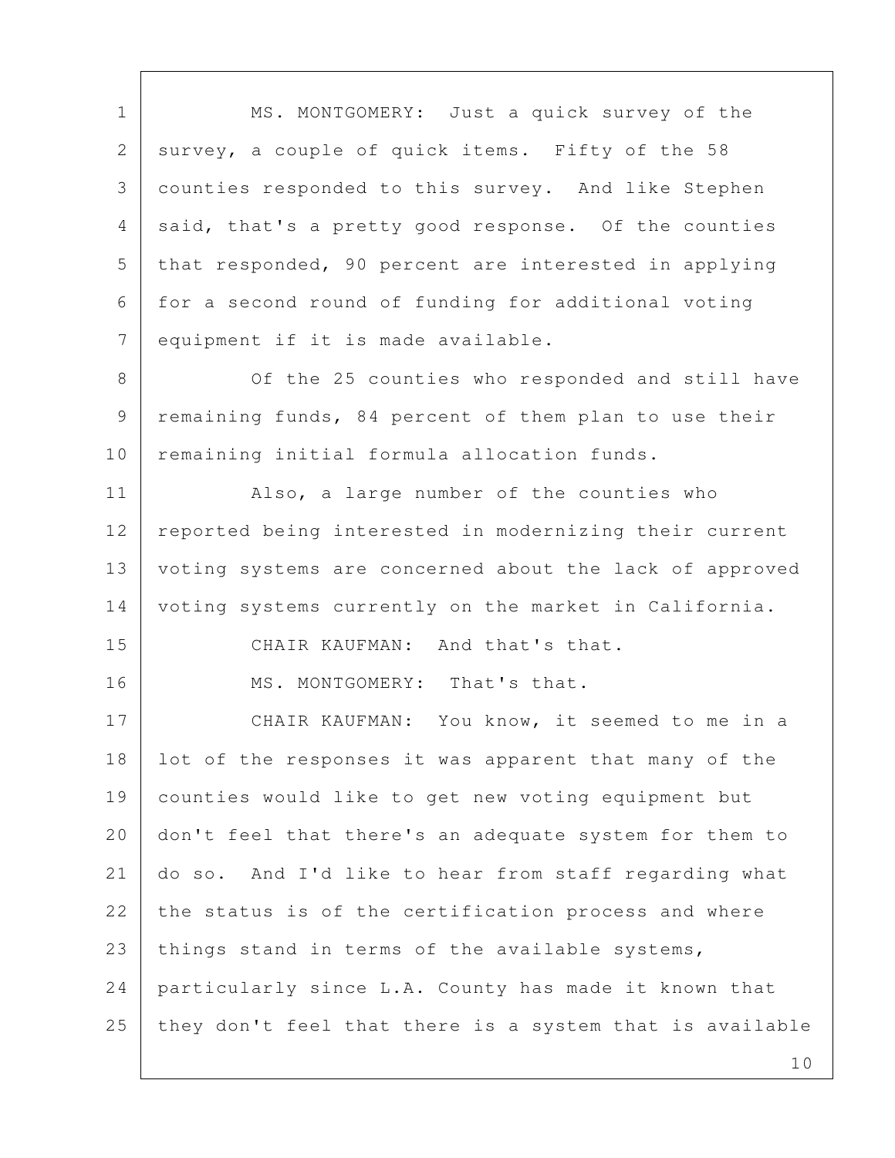1 MS. MONTGOMERY: Just a quick survey of the 2 | survey, a couple of quick items. Fifty of the 58 3 counties responded to this survey. And like Stephen 4 said, that's a pretty good response. Of the counties 5 that responded, 90 percent are interested in applying 6 for a second round of funding for additional voting 7 equipment if it is made available. 8 Of the 25 counties who responded and still have 9 remaining funds, 84 percent of them plan to use their 10 remaining initial formula allocation funds. 11 | Also, a large number of the counties who 12 reported being interested in modernizing their current 13 voting systems are concerned about the lack of approved 14 voting systems currently on the market in California. 15 CHAIR KAUFMAN: And that's that. 16 MS. MONTGOMERY: That's that. 17 CHAIR KAUFMAN: You know, it seemed to me in a 18 lot of the responses it was apparent that many of the 19 counties would like to get new voting equipment but 20 don't feel that there's an adequate system for them to 21 do so. And I'd like to hear from staff regarding what  $22$  the status is of the certification process and where 23 | things stand in terms of the available systems, 24 particularly since L.A. County has made it known that  $25$  they don't feel that there is a system that is available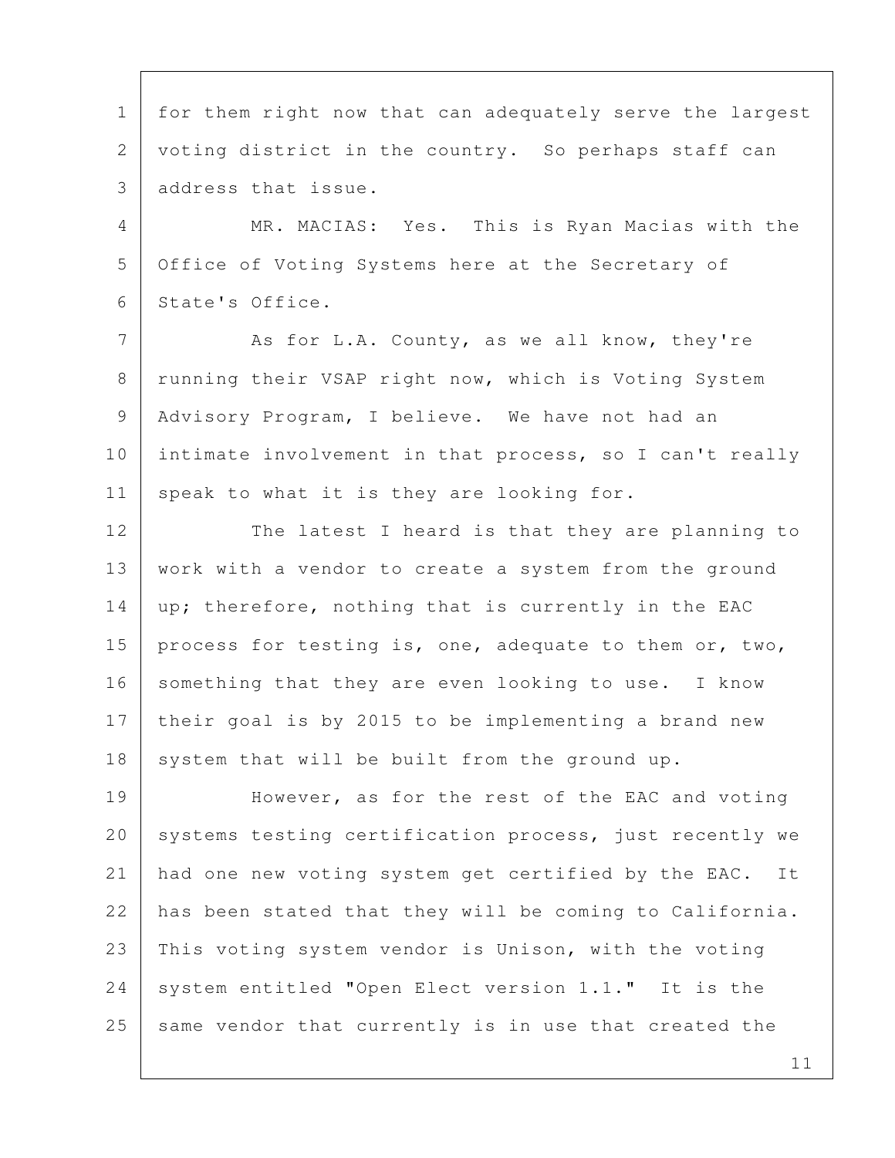1 for them right now that can adequately serve the largest 2 voting district in the country. So perhaps staff can 3 address that issue.

 4 MR. MACIAS: Yes. This is Ryan Macias with the 5 Office of Voting Systems here at the Secretary of 6 State's Office.

7 As for L.A. County, as we all know, they're 8 | running their VSAP right now, which is Voting System 9 | Advisory Program, I believe. We have not had an 10 intimate involvement in that process, so I can't really 11 speak to what it is they are looking for.

12 The latest I heard is that they are planning to 13 | work with a vendor to create a system from the ground 14 | up; therefore, nothing that is currently in the EAC 15 | process for testing is, one, adequate to them or, two, 16 something that they are even looking to use. I know 17 their goal is by 2015 to be implementing a brand new  $18$  system that will be built from the ground up.

19 However, as for the rest of the EAC and voting 20 systems testing certification process, just recently we 21 had one new voting system get certified by the EAC. It 22 has been stated that they will be coming to California. 23 This voting system vendor is Unison, with the voting 24 system entitled "Open Elect version 1.1." It is the 25 same vendor that currently is in use that created the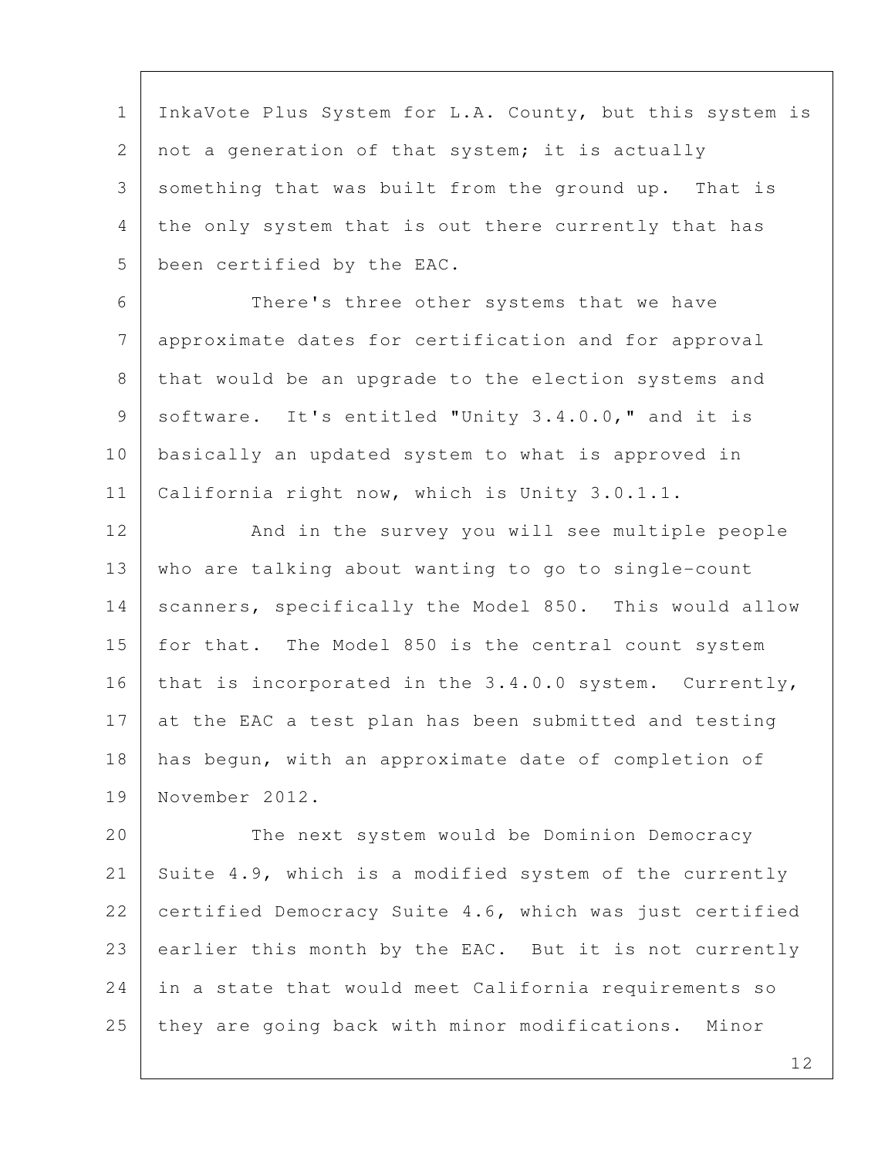1 InkaVote Plus System for L.A. County, but this system is 2 not a generation of that system; it is actually 3 something that was built from the ground up. That is 4 the only system that is out there currently that has 5 been certified by the EAC.

 6 There's three other systems that we have 7 approximate dates for certification and for approval 8 that would be an upgrade to the election systems and 9 software. It's entitled "Unity 3.4.0.0," and it is 10 basically an updated system to what is approved in 11 | California right now, which is Unity 3.0.1.1.

12 And in the survey you will see multiple people 13 | who are talking about wanting to go to single-count 14 | scanners, specifically the Model 850. This would allow 15 | for that. The Model 850 is the central count system 16 that is incorporated in the 3.4.0.0 system. Currently, 17 at the EAC a test plan has been submitted and testing 18 has begun, with an approximate date of completion of 19 November 2012.

20 The next system would be Dominion Democracy 21 Suite 4.9, which is a modified system of the currently 22 certified Democracy Suite 4.6, which was just certified 23 earlier this month by the EAC. But it is not currently 24 in a state that would meet California requirements so 25 they are going back with minor modifications. Minor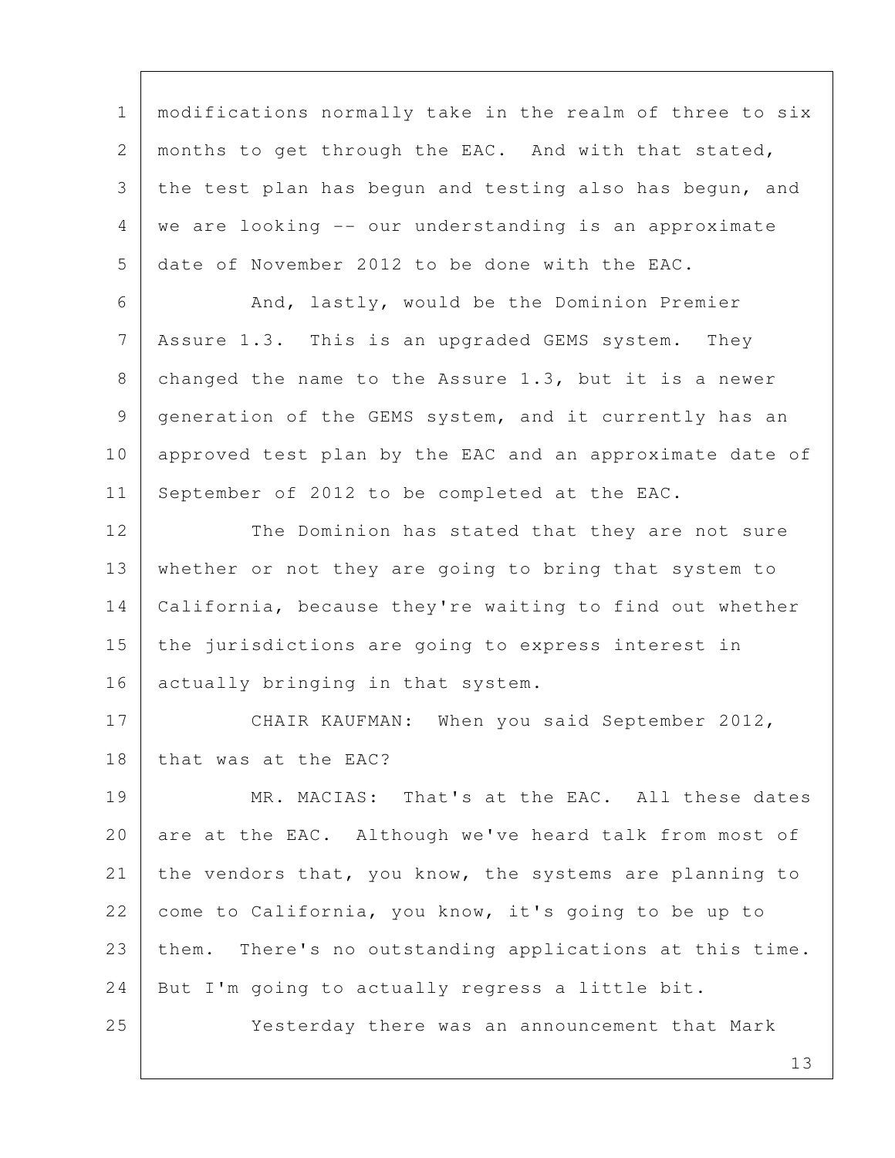1 modifications normally take in the realm of three to six 2 | months to get through the EAC. And with that stated, 3 the test plan has begun and testing also has begun, and 4 we are looking -- our understanding is an approximate 5 date of November 2012 to be done with the EAC.

6 And, lastly, would be the Dominion Premier 7 Assure 1.3. This is an upgraded GEMS system. They 8 | changed the name to the Assure 1.3, but it is a newer 9 generation of the GEMS system, and it currently has an 10 approved test plan by the EAC and an approximate date of 11 September of 2012 to be completed at the EAC.

12 The Dominion has stated that they are not sure 13 whether or not they are going to bring that system to 14 California, because they're waiting to find out whether 15 the jurisdictions are going to express interest in 16 actually bringing in that system.

17 CHAIR KAUFMAN: When you said September 2012, 18 that was at the EAC?

19 MR. MACIAS: That's at the EAC. All these dates 20 are at the EAC. Although we've heard talk from most of 21 the vendors that, you know, the systems are planning to 22 come to California, you know, it's going to be up to 23 them. There's no outstanding applications at this time. 24 | But I'm going to actually regress a little bit.

25 Yesterday there was an announcement that Mark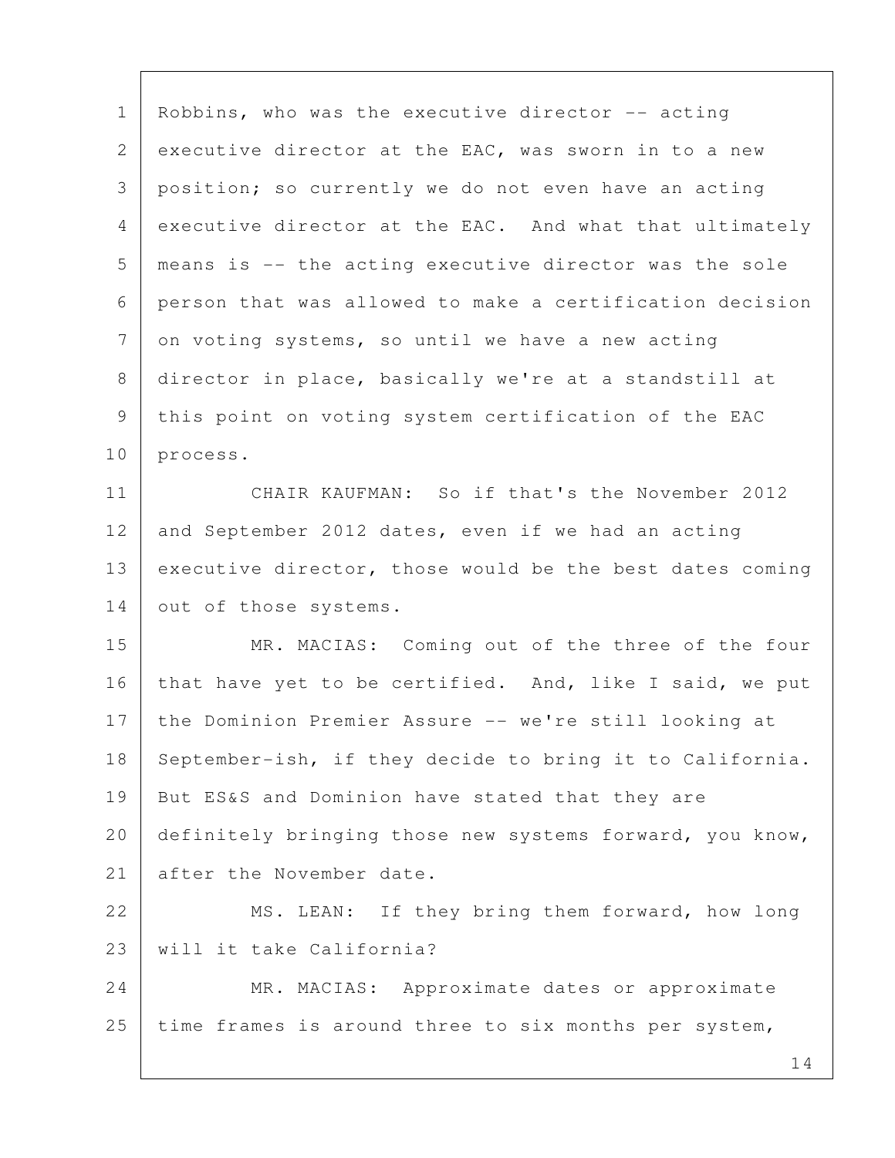1 | Robbins, who was the executive director -- acting 2 executive director at the EAC, was sworn in to a new 3 position; so currently we do not even have an acting 4 executive director at the EAC. And what that ultimately 5 means is -- the acting executive director was the sole 6 person that was allowed to make a certification decision  $7$  on voting systems, so until we have a new acting 8 director in place, basically we're at a standstill at 9 this point on voting system certification of the EAC 10 process. 11 CHAIR KAUFMAN: So if that's the November 2012 12 and September 2012 dates, even if we had an acting 13 executive director, those would be the best dates coming 14 out of those systems. 15 MR. MACIAS: Coming out of the three of the four 16 that have yet to be certified. And, like I said, we put 17 the Dominion Premier Assure -- we're still looking at 18 September-ish, if they decide to bring it to California. 19 But ES&S and Dominion have stated that they are 20 definitely bringing those new systems forward, you know, 21 after the November date. 22 MS. LEAN: If they bring them forward, how long 23 will it take California? 24 MR. MACIAS: Approximate dates or approximate 25 time frames is around three to six months per system,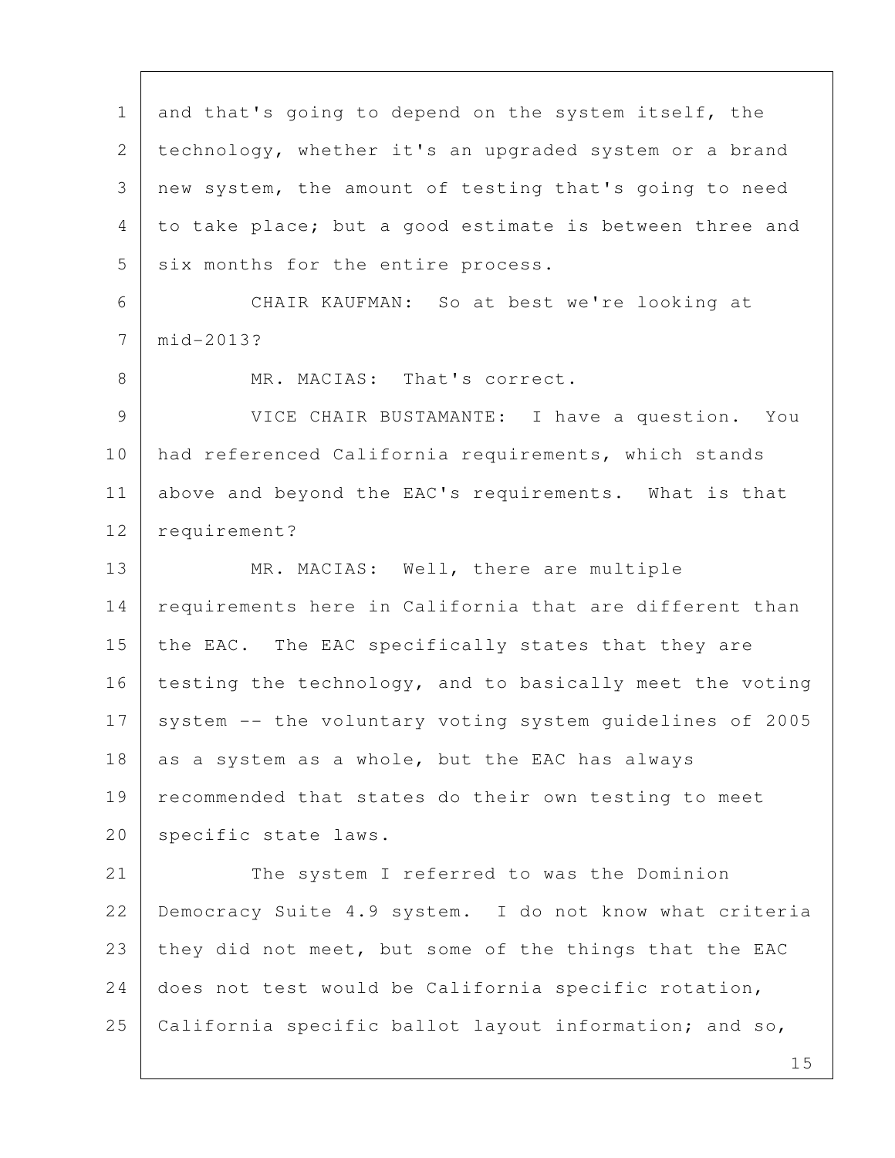1 and that's going to depend on the system itself, the 2 technology, whether it's an upgraded system or a brand 3 new system, the amount of testing that's going to need 4 to take place; but a good estimate is between three and 5 six months for the entire process. 6 CHAIR KAUFMAN: So at best we're looking at 7 mid-2013? 8 MR. MACIAS: That's correct. 9 VICE CHAIR BUSTAMANTE: I have a question. You 10 had referenced California requirements, which stands 11 above and beyond the EAC's requirements. What is that 12 requirement? 13 MR. MACIAS: Well, there are multiple 14 | requirements here in California that are different than 15 the EAC. The EAC specifically states that they are 16 testing the technology, and to basically meet the voting 17 system -- the voluntary voting system quidelines of 2005 18 as a system as a whole, but the EAC has always 19 recommended that states do their own testing to meet 20 | specific state laws. 21 The system I referred to was the Dominion 22 Democracy Suite 4.9 system. I do not know what criteria 23 they did not meet, but some of the things that the EAC 24 does not test would be California specific rotation, 25 California specific ballot layout information; and so,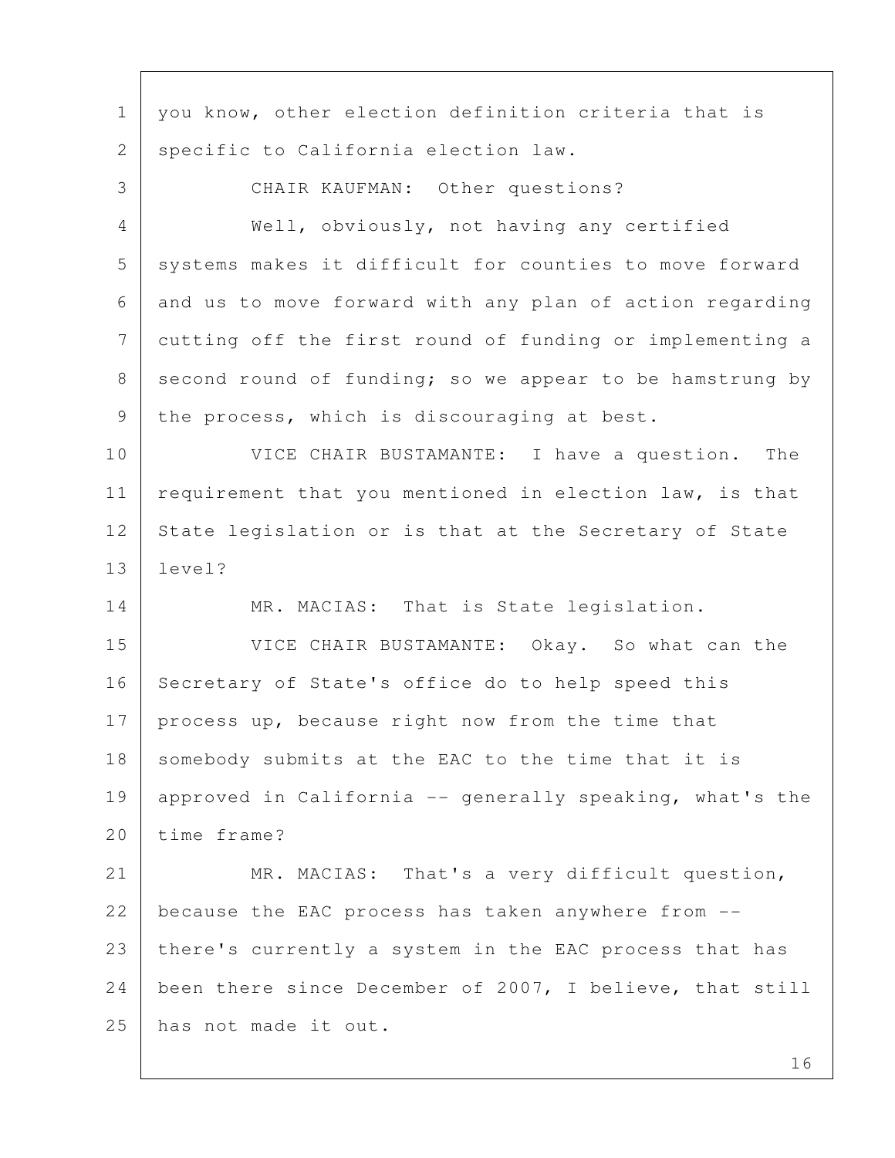1 | you know, other election definition criteria that is 2 specific to California election law. 3 CHAIR KAUFMAN: Other questions? 4 Well, obviously, not having any certified 5 systems makes it difficult for counties to move forward 6 and us to move forward with any plan of action regarding 7 cutting off the first round of funding or implementing a  $8$  second round of funding; so we appear to be hamstrung by 9 | the process, which is discouraging at best. 10 VICE CHAIR BUSTAMANTE: I have a question. The 11 requirement that you mentioned in election law, is that 12 State legislation or is that at the Secretary of State 13 level? 14 MR. MACIAS: That is State legislation. 15 VICE CHAIR BUSTAMANTE: Okay. So what can the 16 Secretary of State's office do to help speed this 17 process up, because right now from the time that 18 somebody submits at the EAC to the time that it is 19 approved in California -- generally speaking, what's the 20 time frame? 21 MR. MACIAS: That's a very difficult question, 22 because the EAC process has taken anywhere from -- 23 there's currently a system in the EAC process that has 24 been there since December of 2007, I believe, that still 25 has not made it out.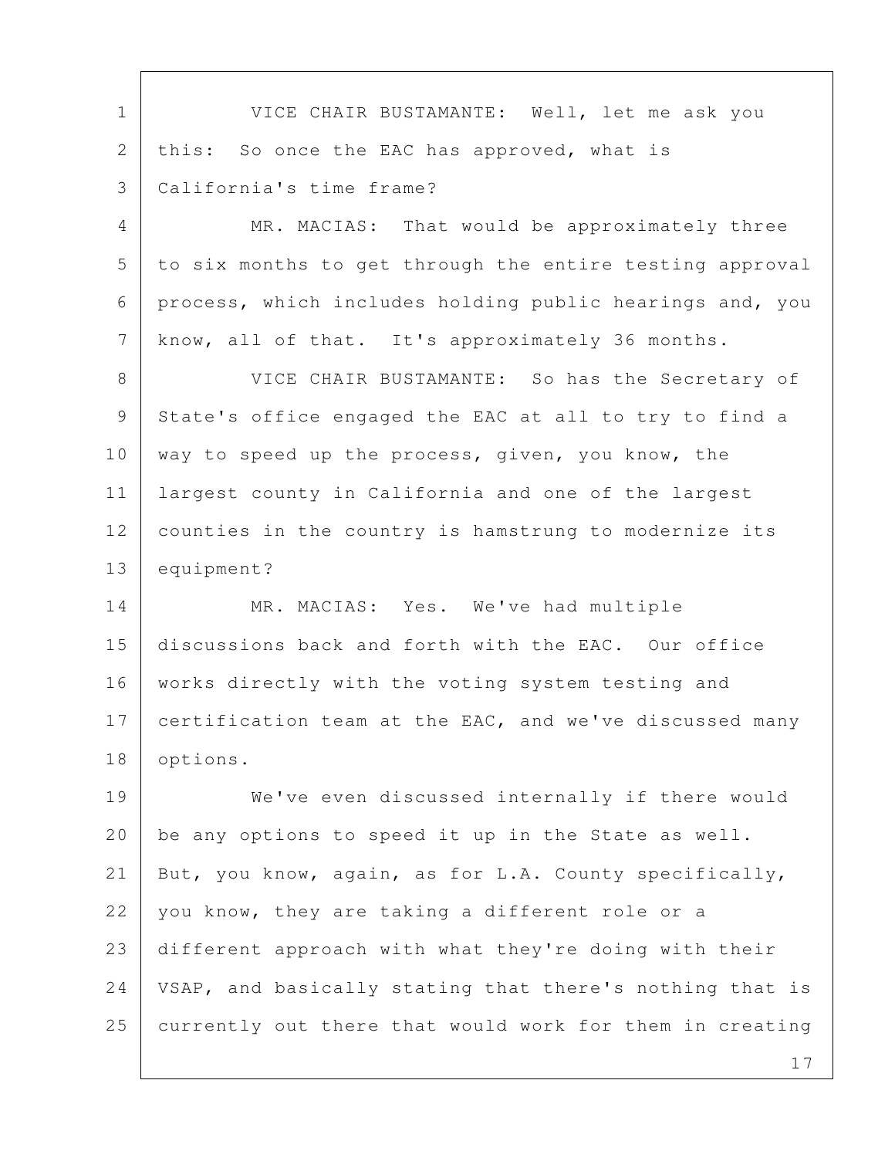1 VICE CHAIR BUSTAMANTE: Well, let me ask you 2 this: So once the EAC has approved, what is 3 California's time frame?

4 MR. MACIAS: That would be approximately three 5 to six months to get through the entire testing approval 6 process, which includes holding public hearings and, you 7 | know, all of that. It's approximately 36 months.

8 VICE CHAIR BUSTAMANTE: So has the Secretary of 9 State's office engaged the EAC at all to try to find a 10 | way to speed up the process, given, you know, the 11 largest county in California and one of the largest 12 counties in the country is hamstrung to modernize its 13 equipment?

14 MR. MACIAS: Yes. We've had multiple 15 discussions back and forth with the EAC. Our office 16 | works directly with the voting system testing and 17 certification team at the EAC, and we've discussed many 18 options.

19 We've even discussed internally if there would 20 | be any options to speed it up in the State as well. 21 But, you know, again, as for L.A. County specifically, 22 you know, they are taking a different role or a 23 different approach with what they're doing with their 24 | VSAP, and basically stating that there's nothing that is 25 currently out there that would work for them in creating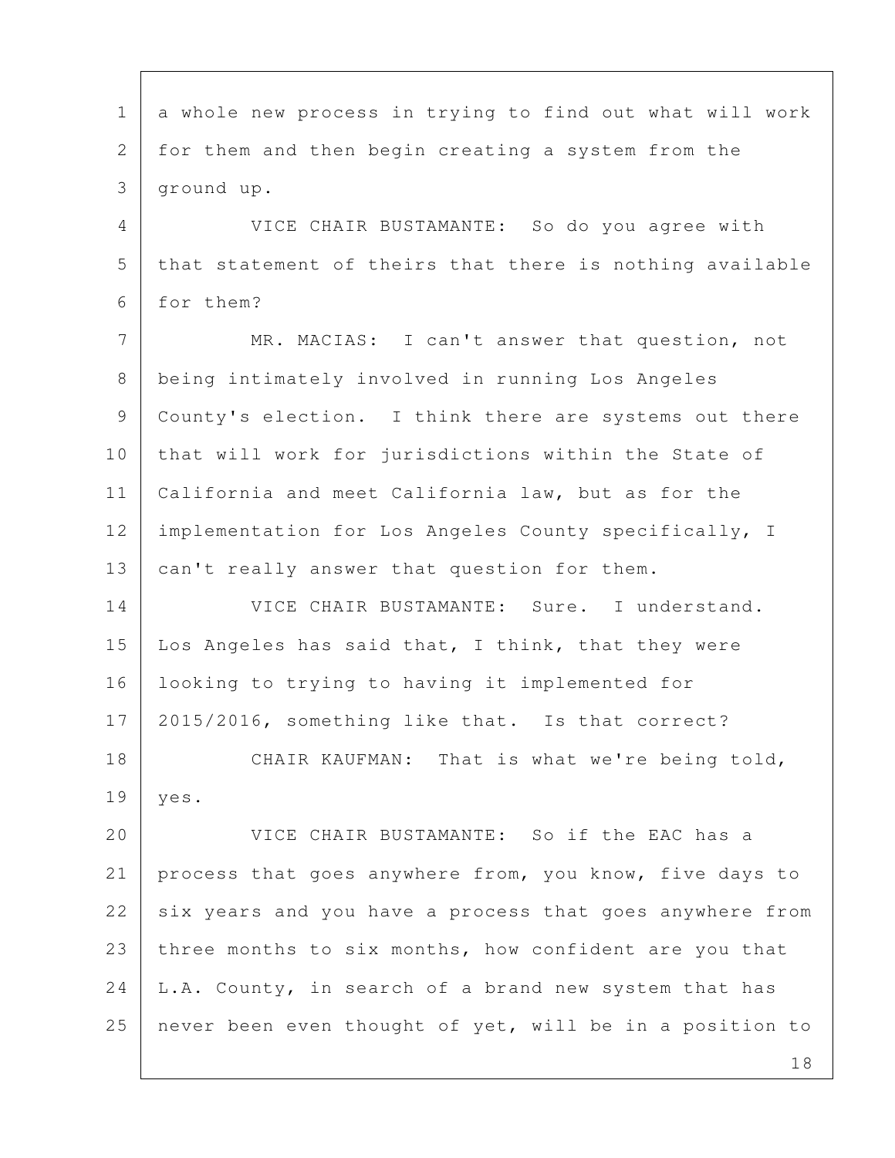1 a whole new process in trying to find out what will work 2 for them and then begin creating a system from the 3 ground up. 4 VICE CHAIR BUSTAMANTE: So do you agree with 5 that statement of theirs that there is nothing available 6 for them? 7 MR. MACIAS: I can't answer that question, not 8 being intimately involved in running Los Angeles 9 County's election. I think there are systems out there 10 that will work for jurisdictions within the State of 11 California and meet California law, but as for the 12 | implementation for Los Angeles County specifically, I 13 can't really answer that question for them. 14 VICE CHAIR BUSTAMANTE: Sure. I understand. 15 Los Angeles has said that, I think, that they were 16 looking to trying to having it implemented for 17 2015/2016, something like that. Is that correct? 18 CHAIR KAUFMAN: That is what we're being told, 19 yes. 20 VICE CHAIR BUSTAMANTE: So if the EAC has a 21 process that goes anywhere from, you know, five days to 22 six years and you have a process that goes anywhere from 23 three months to six months, how confident are you that  $24$  | L.A. County, in search of a brand new system that has 25 never been even thought of yet, will be in a position to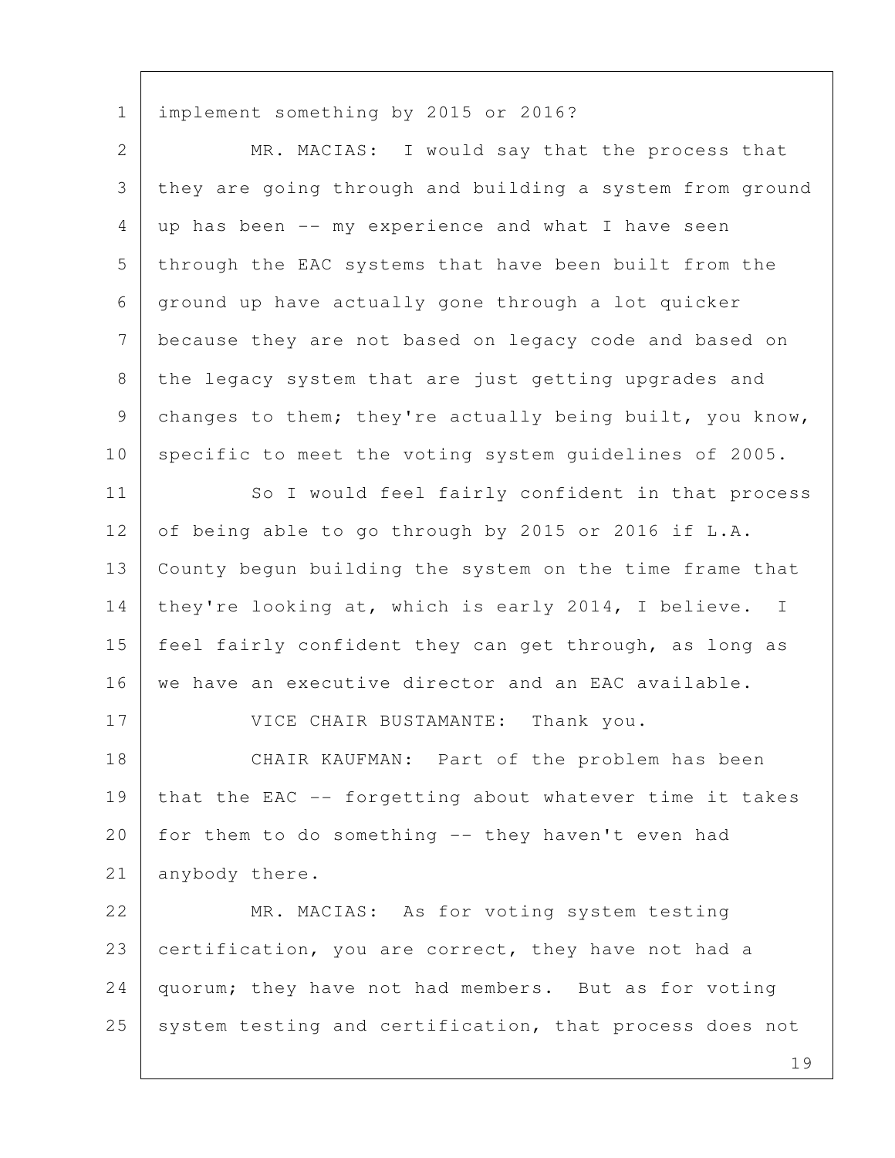1 implement something by 2015 or 2016?

| $\overline{2}$ | MR. MACIAS: I would say that the process that            |
|----------------|----------------------------------------------------------|
| 3              | they are going through and building a system from ground |
| 4              | up has been -- my experience and what I have seen        |
| 5              | through the EAC systems that have been built from the    |
| 6              | ground up have actually gone through a lot quicker       |
| $\overline{7}$ | because they are not based on legacy code and based on   |
| 8              | the legacy system that are just getting upgrades and     |
| 9              | changes to them; they're actually being built, you know, |
| 10             | specific to meet the voting system guidelines of 2005.   |
| 11             | So I would feel fairly confident in that process         |
| 12             | of being able to go through by 2015 or 2016 if L.A.      |
| 13             | County begun building the system on the time frame that  |
| 14             | they're looking at, which is early 2014, I believe. I    |
| 15             | feel fairly confident they can get through, as long as   |
| 16             | we have an executive director and an EAC available.      |
| 17             | VICE CHAIR BUSTAMANTE: Thank you.                        |
| 18             | CHAIR KAUFMAN: Part of the problem has been              |
| 19             | that the EAC -- forgetting about whatever time it takes  |
| 20             | for them to do something -- they haven't even had        |
| 21             | anybody there.                                           |
| 22             | MR. MACIAS: As for voting system testing                 |
| 23             | certification, you are correct, they have not had a      |
| 24             | quorum; they have not had members. But as for voting     |
| 25             | system testing and certification, that process does not  |
|                | $1 \Omega$                                               |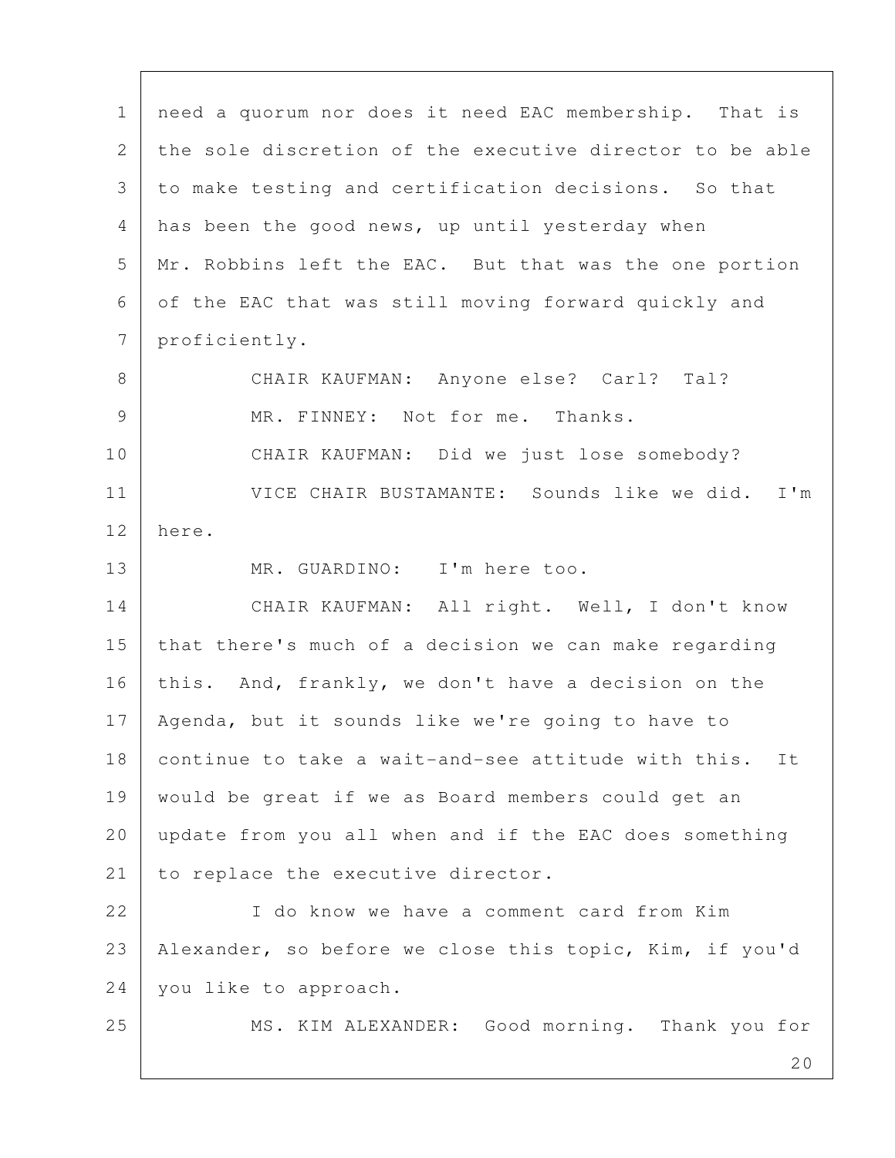20 1 | need a quorum nor does it need EAC membership. That is 2 the sole discretion of the executive director to be able 3 to make testing and certification decisions. So that 4 has been the good news, up until yesterday when 5 Mr. Robbins left the EAC. But that was the one portion 6 of the EAC that was still moving forward quickly and 7 proficiently. 8 | CHAIR KAUFMAN: Anyone else? Carl? Tal? 9 MR. FINNEY: Not for me. Thanks. 10 CHAIR KAUFMAN: Did we just lose somebody? 11 VICE CHAIR BUSTAMANTE: Sounds like we did. I'm 12 here. 13 MR. GUARDINO: I'm here too. 14 CHAIR KAUFMAN: All right. Well, I don't know 15 that there's much of a decision we can make regarding 16 this. And, frankly, we don't have a decision on the 17 Agenda, but it sounds like we're going to have to 18 continue to take a wait-and-see attitude with this. It 19 would be great if we as Board members could get an 20 update from you all when and if the EAC does something 21 to replace the executive director. 22 I do know we have a comment card from Kim 23 Alexander, so before we close this topic, Kim, if you'd 24 you like to approach. 25 MS. KIM ALEXANDER: Good morning. Thank you for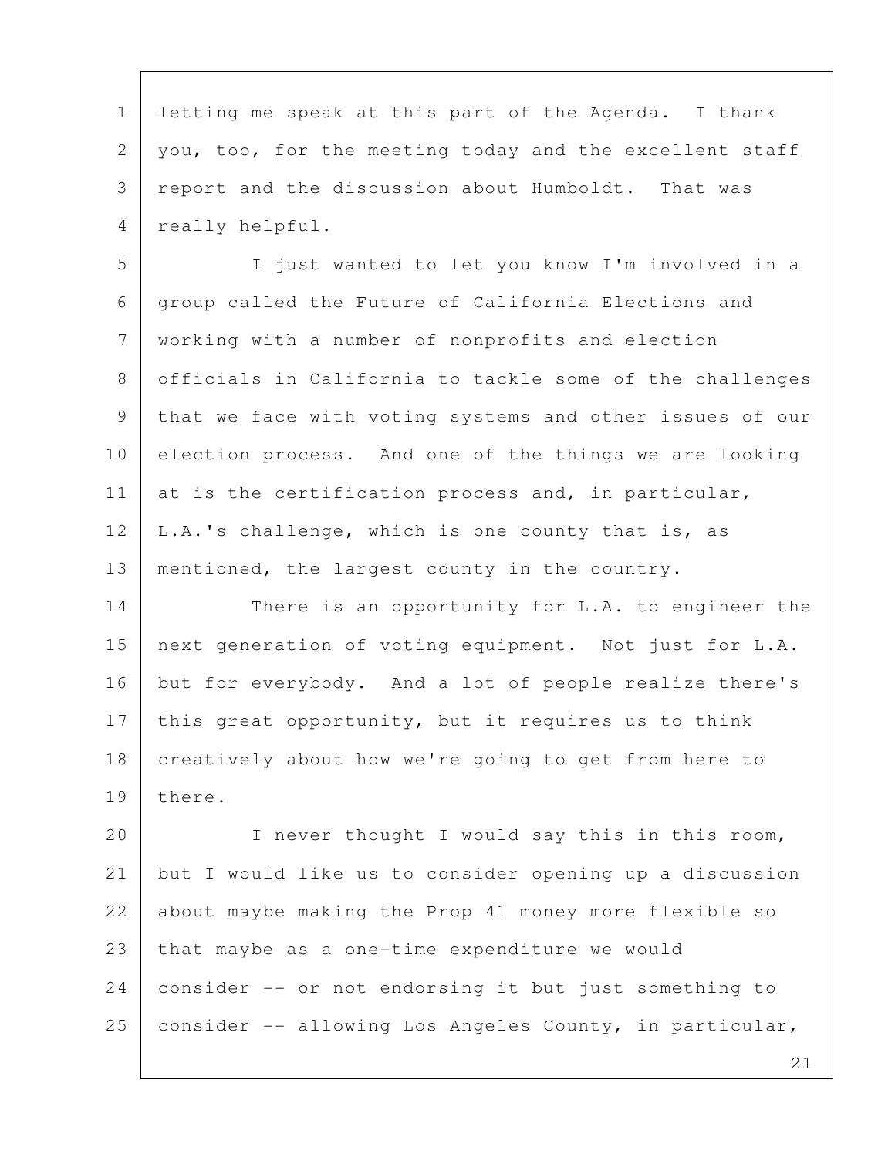1 | letting me speak at this part of the Agenda. I thank 2 you, too, for the meeting today and the excellent staff 3 report and the discussion about Humboldt. That was 4 really helpful.

 5 I just wanted to let you know I'm involved in a 6 group called the Future of California Elections and 7 working with a number of nonprofits and election 8 officials in California to tackle some of the challenges 9 that we face with voting systems and other issues of our 10 election process. And one of the things we are looking 11 at is the certification process and, in particular,  $12$  | L.A.'s challenge, which is one county that is, as 13 mentioned, the largest county in the country.

14 There is an opportunity for L.A. to engineer the 15 next generation of voting equipment. Not just for L.A. 16 but for everybody. And a lot of people realize there's 17 this great opportunity, but it requires us to think 18 creatively about how we're going to get from here to 19 there.

20 | I never thought I would say this in this room, 21 but I would like us to consider opening up a discussion 22 about maybe making the Prop 41 money more flexible so 23 that maybe as a one-time expenditure we would 24 consider -- or not endorsing it but just something to 25 | consider -- allowing Los Angeles County, in particular,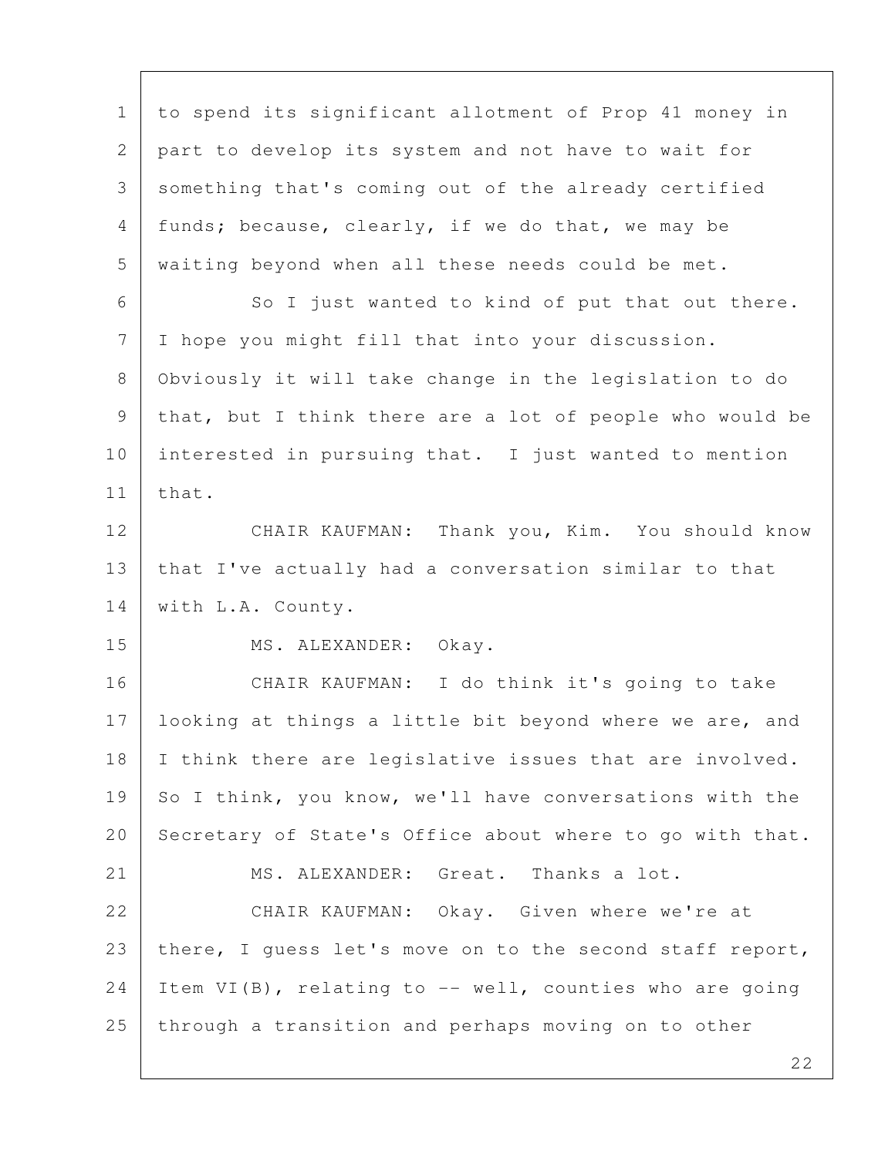1 to spend its significant allotment of Prop 41 money in 2 part to develop its system and not have to wait for 3 something that's coming out of the already certified 4 funds; because, clearly, if we do that, we may be 5 waiting beyond when all these needs could be met. 6 So I just wanted to kind of put that out there. 7 I hope you might fill that into your discussion. 8 Obviously it will take change in the legislation to do 9 that, but I think there are a lot of people who would be 10 interested in pursuing that. I just wanted to mention  $11$  that. 12 CHAIR KAUFMAN: Thank you, Kim. You should know 13 that I've actually had a conversation similar to that 14 with L.A. County. 15 MS. ALEXANDER: Okay. 16 CHAIR KAUFMAN: I do think it's going to take 17 | looking at things a little bit beyond where we are, and 18 I think there are legislative issues that are involved. 19 So I think, you know, we'll have conversations with the 20 Secretary of State's Office about where to go with that. 21 MS. ALEXANDER: Great. Thanks a lot. 22 CHAIR KAUFMAN: Okay. Given where we're at 23 | there, I guess let's move on to the second staff report, 24 | Item VI(B), relating to -- well, counties who are going 25 through a transition and perhaps moving on to other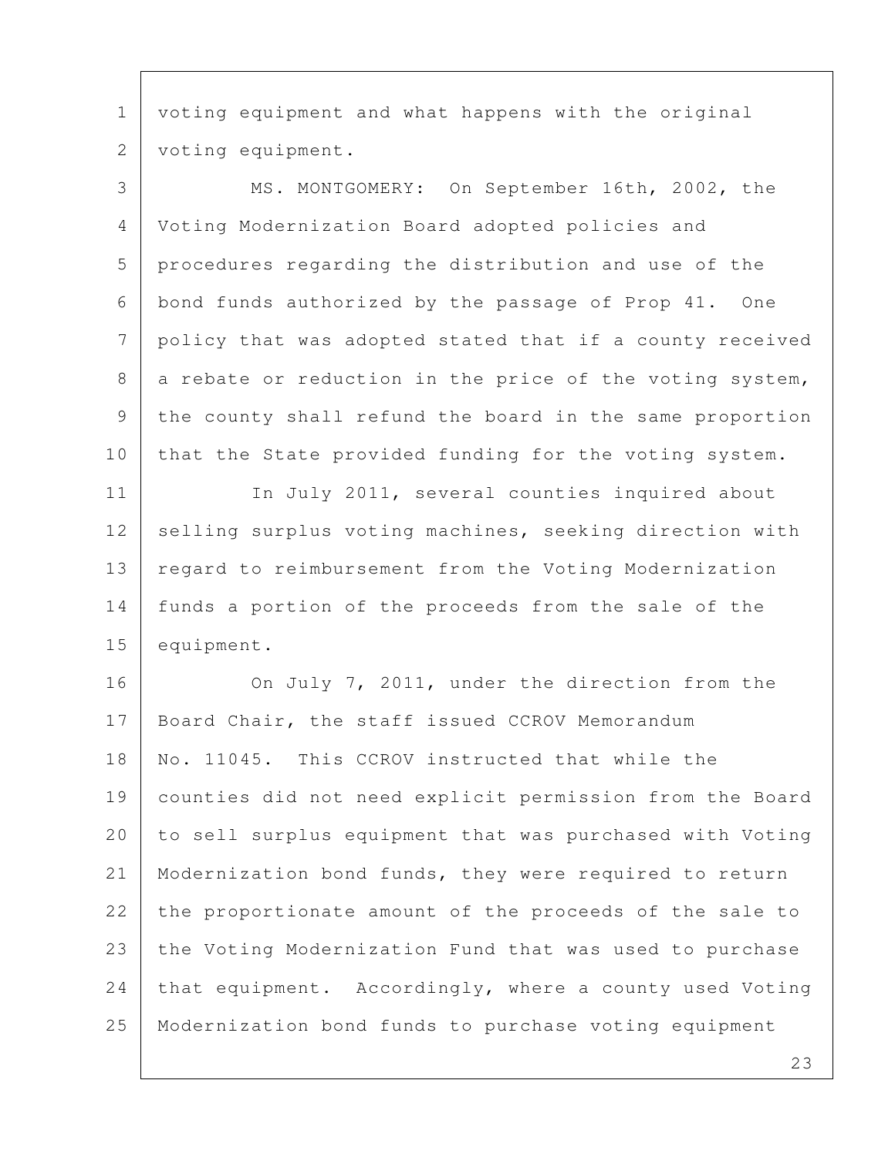1 voting equipment and what happens with the original 2 | voting equipment.

 3 MS. MONTGOMERY: On September 16th, 2002, the 4 Voting Modernization Board adopted policies and 5 procedures regarding the distribution and use of the 6 bond funds authorized by the passage of Prop 41. One 7 policy that was adopted stated that if a county received  $8$  a rebate or reduction in the price of the voting system, 9 the county shall refund the board in the same proportion 10 that the State provided funding for the voting system.

11 In July 2011, several counties inquired about 12 selling surplus voting machines, seeking direction with 13 regard to reimbursement from the Voting Modernization 14 funds a portion of the proceeds from the sale of the 15 equipment.

16 On July 7, 2011, under the direction from the 17 Board Chair, the staff issued CCROV Memorandum 18 No. 11045. This CCROV instructed that while the 19 counties did not need explicit permission from the Board 20 to sell surplus equipment that was purchased with Voting 21 | Modernization bond funds, they were required to return 22 the proportionate amount of the proceeds of the sale to 23 the Voting Modernization Fund that was used to purchase  $24$  that equipment. Accordingly, where a county used Voting 25 Modernization bond funds to purchase voting equipment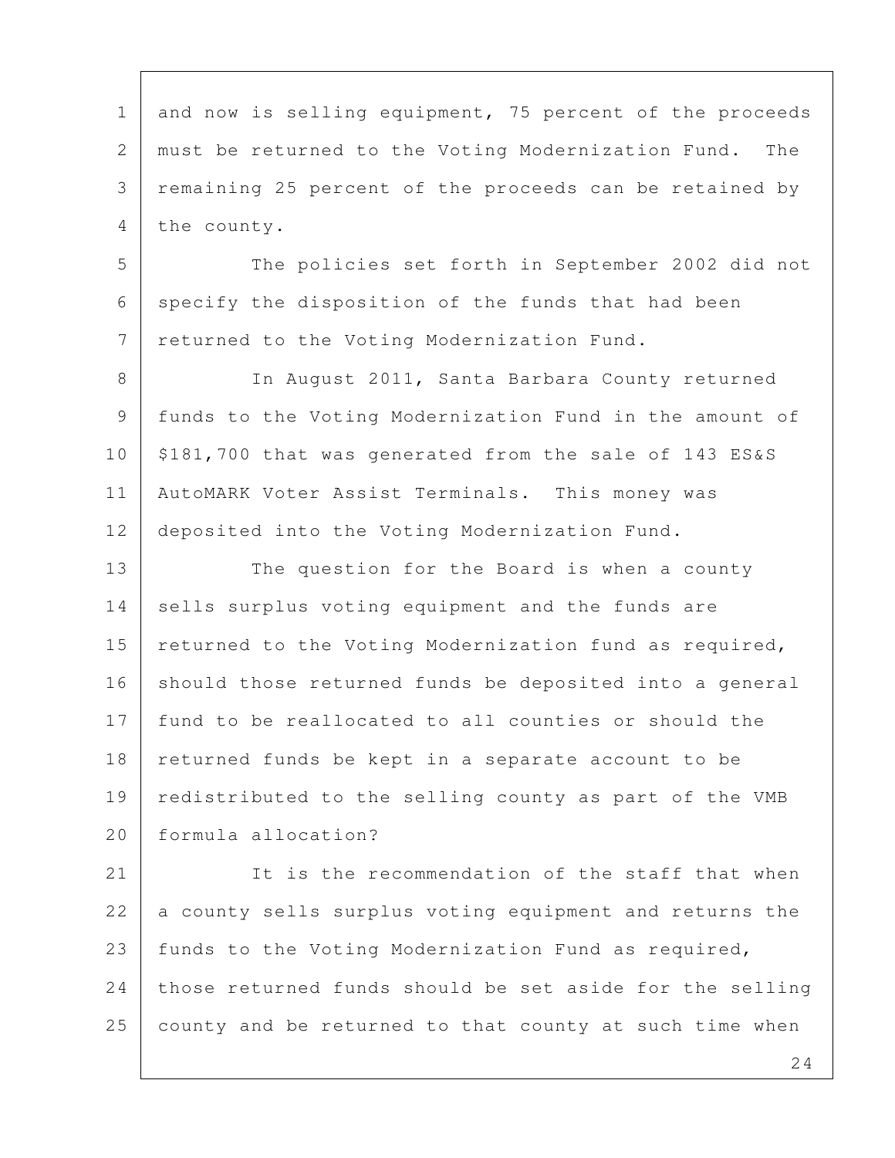1 and now is selling equipment, 75 percent of the proceeds 2 must be returned to the Voting Modernization Fund. The 3 remaining 25 percent of the proceeds can be retained by 4 the county.

5 The policies set forth in September 2002 did not 6 specify the disposition of the funds that had been 7 returned to the Voting Modernization Fund.

8 | The August 2011, Santa Barbara County returned 9 funds to the Voting Modernization Fund in the amount of 10 | \$181,700 that was generated from the sale of 143 ES&S 11 AutoMARK Voter Assist Terminals. This money was 12 deposited into the Voting Modernization Fund.

13 The question for the Board is when a county 14 sells surplus voting equipment and the funds are 15 returned to the Voting Modernization fund as required, 16 should those returned funds be deposited into a general 17 fund to be reallocated to all counties or should the 18 | returned funds be kept in a separate account to be 19 redistributed to the selling county as part of the VMB 20 formula allocation?

21 It is the recommendation of the staff that when 22 a county sells surplus voting equipment and returns the 23 funds to the Voting Modernization Fund as required,  $24$  those returned funds should be set aside for the selling 25 county and be returned to that county at such time when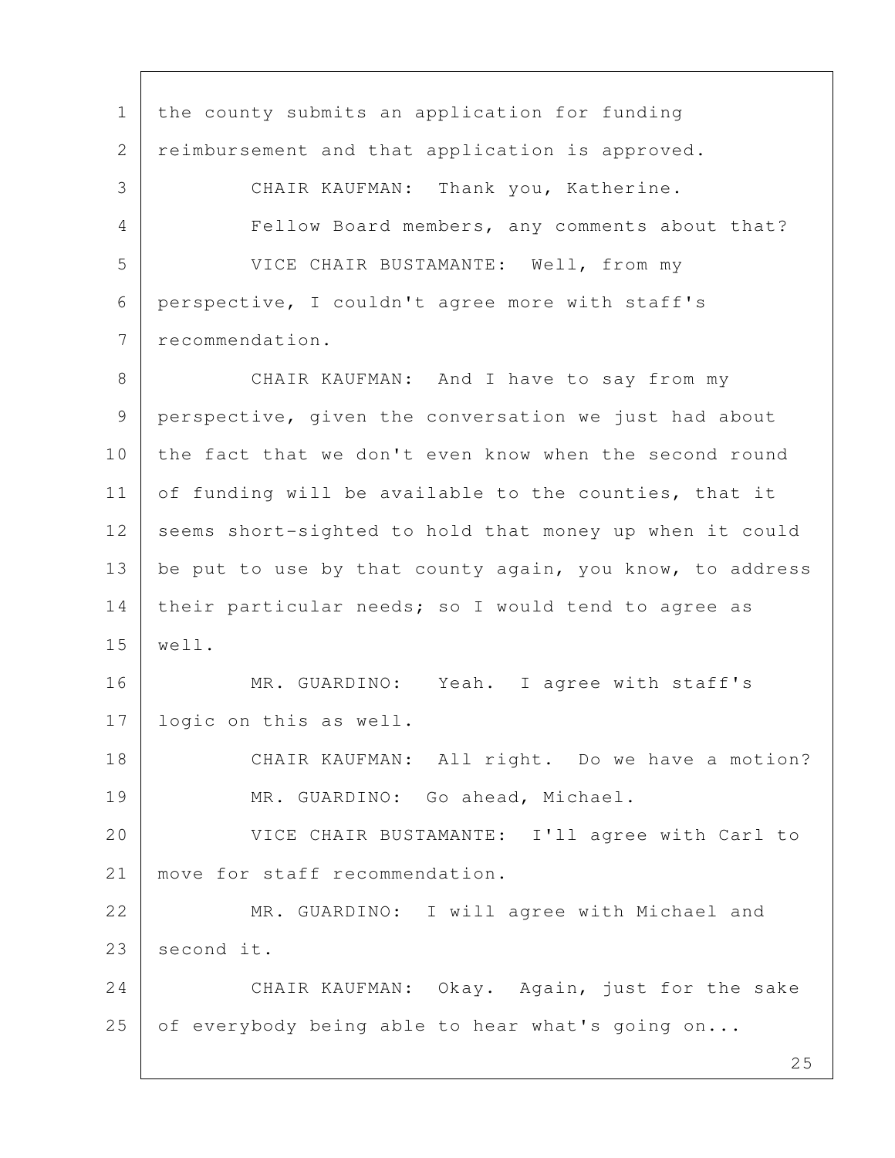1 | the county submits an application for funding 2 reimbursement and that application is approved. 3 CHAIR KAUFMAN: Thank you, Katherine. 4 Fellow Board members, any comments about that? 5 VICE CHAIR BUSTAMANTE: Well, from my 6 perspective, I couldn't agree more with staff's 7 recommendation. 8 CHAIR KAUFMAN: And I have to say from my 9 perspective, given the conversation we just had about 10 the fact that we don't even know when the second round 11 of funding will be available to the counties, that it 12 seems short-sighted to hold that money up when it could 13 be put to use by that county again, you know, to address 14 their particular needs; so I would tend to agree as 15 well. 16 MR. GUARDINO: Yeah. I agree with staff's 17 logic on this as well. 18 CHAIR KAUFMAN: All right. Do we have a motion? 19 MR. GUARDINO: Go ahead, Michael. 20 VICE CHAIR BUSTAMANTE: I'll agree with Carl to 21 move for staff recommendation. 22 MR. GUARDINO: I will agree with Michael and 23 second it. 24 CHAIR KAUFMAN: Okay. Again, just for the sake 25 of everybody being able to hear what's going on...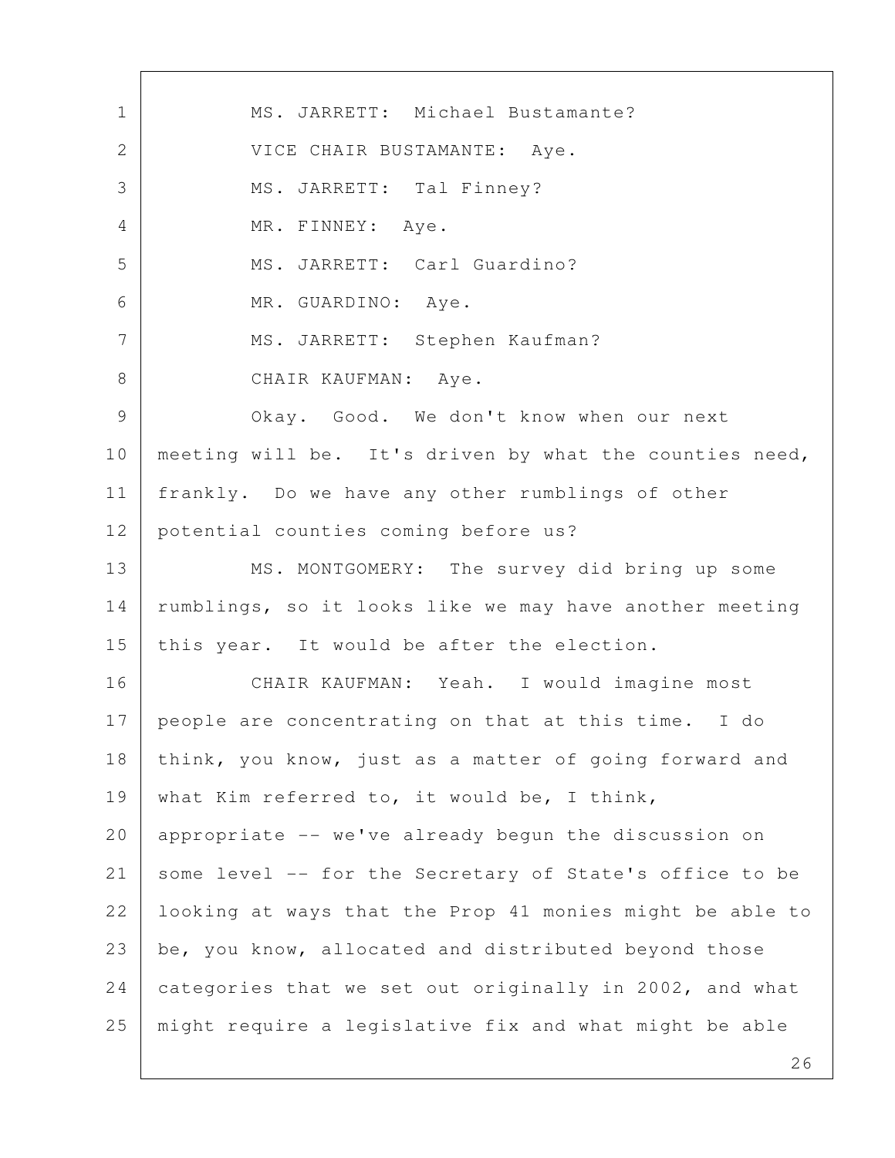1 MS. JARRETT: Michael Bustamante? 2 | VICE CHAIR BUSTAMANTE: Aye. 3 MS. JARRETT: Tal Finney? 4 | MR. FINNEY: Aye. 5 | MS. JARRETT: Carl Guardino? 6 MR. GUARDINO: Aye. 7 | MS. JARRETT: Stephen Kaufman? 8 CHAIR KAUFMAN: Aye. 9 Okay. Good. We don't know when our next 10 meeting will be. It's driven by what the counties need, 11 frankly. Do we have any other rumblings of other 12 potential counties coming before us? 13 MS. MONTGOMERY: The survey did bring up some 14 | rumblings, so it looks like we may have another meeting 15 | this year. It would be after the election. 16 CHAIR KAUFMAN: Yeah. I would imagine most 17 people are concentrating on that at this time. I do 18 | think, you know, just as a matter of going forward and 19 what Kim referred to, it would be, I think, 20 appropriate -- we've already begun the discussion on 21 some level -- for the Secretary of State's office to be 22 looking at ways that the Prop 41 monies might be able to 23 be, you know, allocated and distributed beyond those 24 categories that we set out originally in 2002, and what 25 might require a legislative fix and what might be able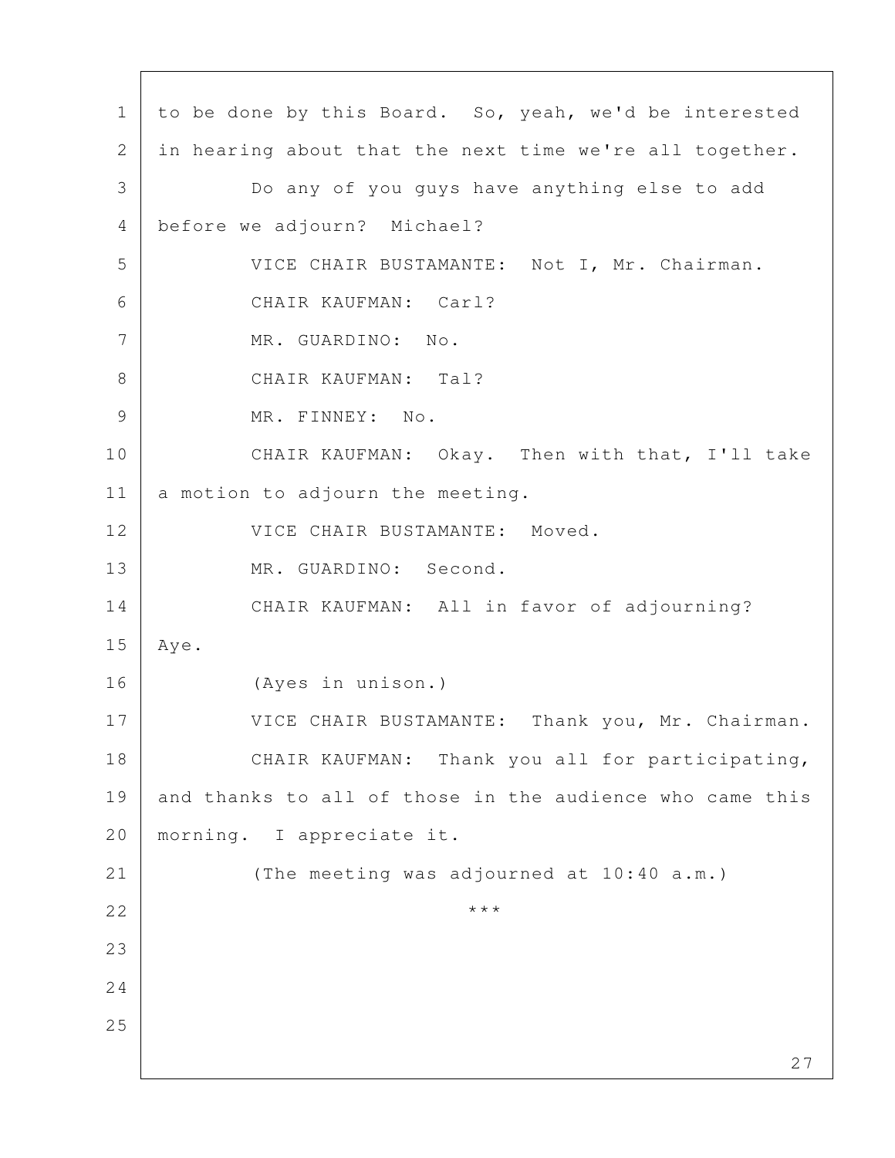27 1 to be done by this Board. So, yeah, we'd be interested 2 in hearing about that the next time we're all together. 3 Do any of you guys have anything else to add 4 before we adjourn? Michael? 5 VICE CHAIR BUSTAMANTE: Not I, Mr. Chairman. 6 CHAIR KAUFMAN: Carl? 7 MR. GUARDINO: No. 8 CHAIR KAUFMAN: Tal? 9 MR. FINNEY: No. 10 CHAIR KAUFMAN: Okay. Then with that, I'll take 11 a motion to adjourn the meeting. 12 VICE CHAIR BUSTAMANTE: Moved. 13 MR. GUARDINO: Second. 14 CHAIR KAUFMAN: All in favor of adjourning? 15 Aye. 16 (Ayes in unison.) 17 VICE CHAIR BUSTAMANTE: Thank you, Mr. Chairman. 18 CHAIR KAUFMAN: Thank you all for participating, 19 and thanks to all of those in the audience who came this 20 morning. I appreciate it. 21 (The meeting was adjourned at 10:40 a.m.) 22  $\vert$  \*\*\* 23 24 25